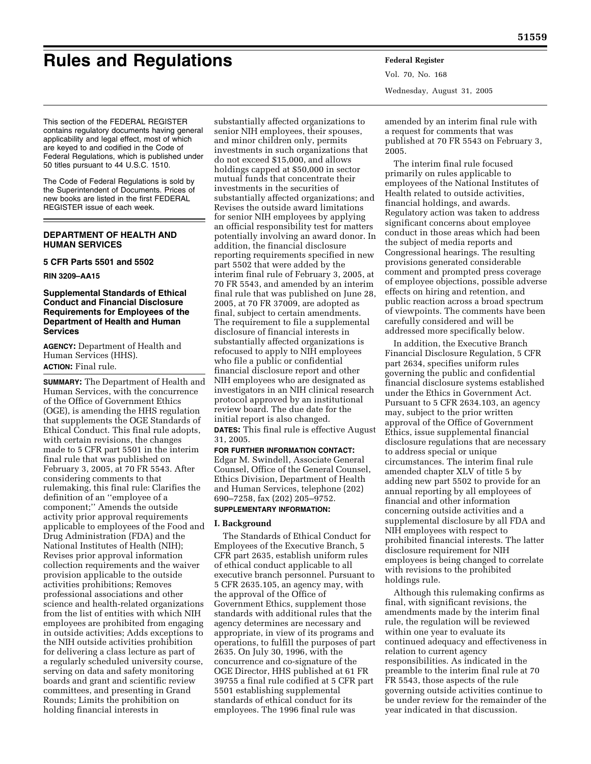# **Rules and Regulations Federal Register**

Vol. 70, No. 168 Wednesday, August 31, 2005

This section of the FEDERAL REGISTER contains regulatory documents having general applicability and legal effect, most of which are keyed to and codified in the Code of Federal Regulations, which is published under 50 titles pursuant to 44 U.S.C. 1510.

The Code of Federal Regulations is sold by the Superintendent of Documents. Prices of new books are listed in the first FEDERAL REGISTER issue of each week.

## **DEPARTMENT OF HEALTH AND HUMAN SERVICES**

## **5 CFR Parts 5501 and 5502**

## **RIN 3209–AA15**

## **Supplemental Standards of Ethical Conduct and Financial Disclosure Requirements for Employees of the Department of Health and Human Services**

**AGENCY:** Department of Health and Human Services (HHS). **ACTION:** Final rule.

**SUMMARY:** The Department of Health and Human Services, with the concurrence of the Office of Government Ethics (OGE), is amending the HHS regulation that supplements the OGE Standards of Ethical Conduct. This final rule adopts, with certain revisions, the changes made to 5 CFR part 5501 in the interim final rule that was published on February 3, 2005, at 70 FR 5543. After considering comments to that rulemaking, this final rule: Clarifies the definition of an ''employee of a component;'' Amends the outside activity prior approval requirements applicable to employees of the Food and Drug Administration (FDA) and the National Institutes of Health (NIH); Revises prior approval information collection requirements and the waiver provision applicable to the outside activities prohibitions; Removes professional associations and other science and health-related organizations from the list of entities with which NIH employees are prohibited from engaging in outside activities; Adds exceptions to the NIH outside activities prohibition for delivering a class lecture as part of a regularly scheduled university course, serving on data and safety monitoring boards and grant and scientific review committees, and presenting in Grand Rounds; Limits the prohibition on holding financial interests in

substantially affected organizations to senior NIH employees, their spouses, and minor children only, permits investments in such organizations that do not exceed \$15,000, and allows holdings capped at \$50,000 in sector mutual funds that concentrate their investments in the securities of substantially affected organizations; and Revises the outside award limitations for senior NIH employees by applying an official responsibility test for matters potentially involving an award donor. In addition, the financial disclosure reporting requirements specified in new part 5502 that were added by the interim final rule of February 3, 2005, at 70 FR 5543, and amended by an interim final rule that was published on June 28, 2005, at 70 FR 37009, are adopted as final, subject to certain amendments. The requirement to file a supplemental disclosure of financial interests in substantially affected organizations is refocused to apply to NIH employees who file a public or confidential financial disclosure report and other NIH employees who are designated as investigators in an NIH clinical research protocol approved by an institutional review board. The due date for the initial report is also changed. **DATES:** This final rule is effective August

31, 2005.

# **FOR FURTHER INFORMATION CONTACT:**  Edgar M. Swindell, Associate General Counsel, Office of the General Counsel, Ethics Division, Department of Health and Human Services, telephone (202) 690–7258, fax (202) 205–9752.

# **SUPPLEMENTARY INFORMATION:**

# **I. Background**

The Standards of Ethical Conduct for Employees of the Executive Branch, 5 CFR part 2635, establish uniform rules of ethical conduct applicable to all executive branch personnel. Pursuant to 5 CFR 2635.105, an agency may, with the approval of the Office of Government Ethics, supplement those standards with additional rules that the agency determines are necessary and appropriate, in view of its programs and operations, to fulfill the purposes of part 2635. On July 30, 1996, with the concurrence and co-signature of the OGE Director, HHS published at 61 FR 39755 a final rule codified at 5 CFR part 5501 establishing supplemental standards of ethical conduct for its employees. The 1996 final rule was

amended by an interim final rule with a request for comments that was published at 70 FR 5543 on February 3, 2005.

The interim final rule focused primarily on rules applicable to employees of the National Institutes of Health related to outside activities, financial holdings, and awards. Regulatory action was taken to address significant concerns about employee conduct in those areas which had been the subject of media reports and Congressional hearings. The resulting provisions generated considerable comment and prompted press coverage of employee objections, possible adverse effects on hiring and retention, and public reaction across a broad spectrum of viewpoints. The comments have been carefully considered and will be addressed more specifically below.

In addition, the Executive Branch Financial Disclosure Regulation, 5 CFR part 2634, specifies uniform rules governing the public and confidential financial disclosure systems established under the Ethics in Government Act. Pursuant to 5 CFR 2634.103, an agency may, subject to the prior written approval of the Office of Government Ethics, issue supplemental financial disclosure regulations that are necessary to address special or unique circumstances. The interim final rule amended chapter XLV of title 5 by adding new part 5502 to provide for an annual reporting by all employees of financial and other information concerning outside activities and a supplemental disclosure by all FDA and NIH employees with respect to prohibited financial interests. The latter disclosure requirement for NIH employees is being changed to correlate with revisions to the prohibited holdings rule.

Although this rulemaking confirms as final, with significant revisions, the amendments made by the interim final rule, the regulation will be reviewed within one year to evaluate its continued adequacy and effectiveness in relation to current agency responsibilities. As indicated in the preamble to the interim final rule at 70 FR 5543, those aspects of the rule governing outside activities continue to be under review for the remainder of the year indicated in that discussion.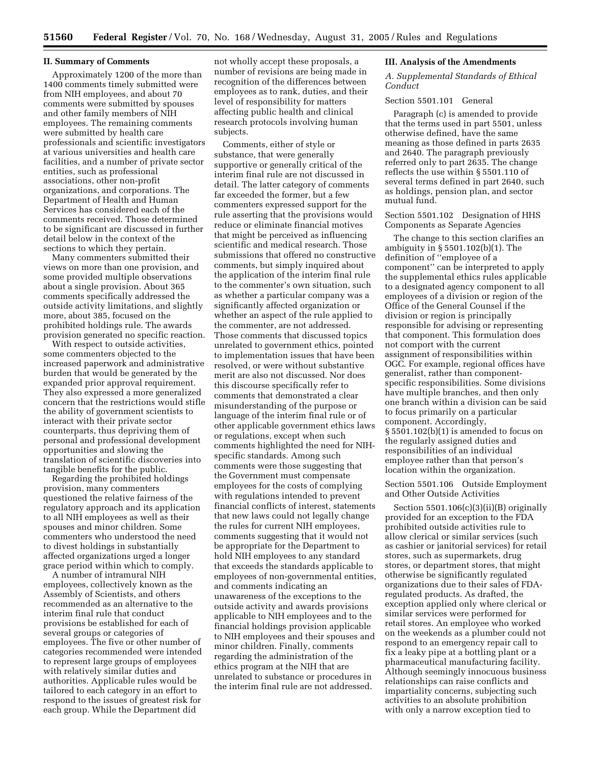#### **II. Summary of Comments**

Approximately 1200 of the more than 1400 comments timely submitted were from NIH employees, and about 70 comments were submitted by spouses and other family members of NIH employees. The remaining comments were submitted by health care professionals and scientific investigators at various universities and health care facilities, and a number of private sector entities, such as professional associations, other non-profit organizations, and corporations. The Department of Health and Human Services has considered each of the comments received. Those determined to be significant are discussed in further detail below in the context of the sections to which they pertain.

Many commenters submitted their views on more than one provision, and some provided multiple observations about a single provision. About 365 comments specifically addressed the outside activity limitations, and slightly more, about 385, focused on the prohibited holdings rule. The awards provision generated no specific reaction.

With respect to outside activities, some commenters objected to the increased paperwork and administrative burden that would be generated by the expanded prior approval requirement. They also expressed a more generalized concern that the restrictions would stifle the ability of government scientists to interact with their private sector counterparts, thus depriving them of personal and professional development opportunities and slowing the translation of scientific discoveries into tangible benefits for the public.

Regarding the prohibited holdings provision, many commenters questioned the relative fairness of the regulatory approach and its application to all NIH employees as well as their spouses and minor children. Some commenters who understood the need to divest holdings in substantially affected organizations urged a longer grace period within which to comply.

A number of intramural NIH employees, collectively known as the Assembly of Scientists, and others recommended as an alternative to the interim final rule that conduct provisions be established for each of several groups or categories of employees. The five or other number of categories recommended were intended to represent large groups of employees with relatively similar duties and authorities. Applicable rules would be tailored to each category in an effort to respond to the issues of greatest risk for each group. While the Department did

not wholly accept these proposals, a number of revisions are being made in recognition of the differences between employees as to rank, duties, and their level of responsibility for matters affecting public health and clinical research protocols involving human subjects.

Comments, either of style or substance, that were generally supportive or generally critical of the interim final rule are not discussed in detail. The latter category of comments far exceeded the former, but a few commenters expressed support for the rule asserting that the provisions would reduce or eliminate financial motives that might be perceived as influencing scientific and medical research. Those submissions that offered no constructive comments, but simply inquired about the application of the interim final rule to the commenter's own situation, such as whether a particular company was a significantly affected organization or whether an aspect of the rule applied to the commenter, are not addressed. Those comments that discussed topics unrelated to government ethics, pointed to implementation issues that have been resolved, or were without substantive merit are also not discussed. Nor does this discourse specifically refer to comments that demonstrated a clear misunderstanding of the purpose or language of the interim final rule or of other applicable government ethics laws or regulations, except when such comments highlighted the need for NIHspecific standards. Among such comments were those suggesting that the Government must compensate employees for the costs of complying with regulations intended to prevent financial conflicts of interest, statements that new laws could not legally change the rules for current NIH employees, comments suggesting that it would not be appropriate for the Department to hold NIH employees to any standard that exceeds the standards applicable to employees of non-governmental entities, and comments indicating an unawareness of the exceptions to the outside activity and awards provisions applicable to NIH employees and to the financial holdings provision applicable to NIH employees and their spouses and minor children. Finally, comments regarding the administration of the ethics program at the NIH that are unrelated to substance or procedures in the interim final rule are not addressed.

#### **III. Analysis of the Amendments**

*A. Supplemental Standards of Ethical Conduct* 

## Section 5501.101 General

Paragraph (c) is amended to provide that the terms used in part 5501, unless otherwise defined, have the same meaning as those defined in parts 2635 and 2640. The paragraph previously referred only to part 2635. The change reflects the use within § 5501.110 of several terms defined in part 2640, such as holdings, pension plan, and sector mutual fund.

## Section 5501.102 Designation of HHS Components as Separate Agencies

The change to this section clarifies an ambiguity in § 5501.102(b)(1). The definition of ''employee of a component'' can be interpreted to apply the supplemental ethics rules applicable to a designated agency component to all employees of a division or region of the Office of the General Counsel if the division or region is principally responsible for advising or representing that component. This formulation does not comport with the current assignment of responsibilities within OGC. For example, regional offices have generalist, rather than componentspecific responsibilities. Some divisions have multiple branches, and then only one branch within a division can be said to focus primarily on a particular component. Accordingly, § 5501.102(b)(1) is amended to focus on the regularly assigned duties and responsibilities of an individual employee rather than that person's location within the organization.

## Section 5501.106 Outside Employment and Other Outside Activities

Section 5501.106(c)(3)(ii)(B) originally provided for an exception to the FDA prohibited outside activities rule to allow clerical or similar services (such as cashier or janitorial services) for retail stores, such as supermarkets, drug stores, or department stores, that might otherwise be significantly regulated organizations due to their sales of FDAregulated products. As drafted, the exception applied only where clerical or similar services were performed for retail stores. An employee who worked on the weekends as a plumber could not respond to an emergency repair call to fix a leaky pipe at a bottling plant or a pharmaceutical manufacturing facility. Although seemingly innocuous business relationships can raise conflicts and impartiality concerns, subjecting such activities to an absolute prohibition with only a narrow exception tied to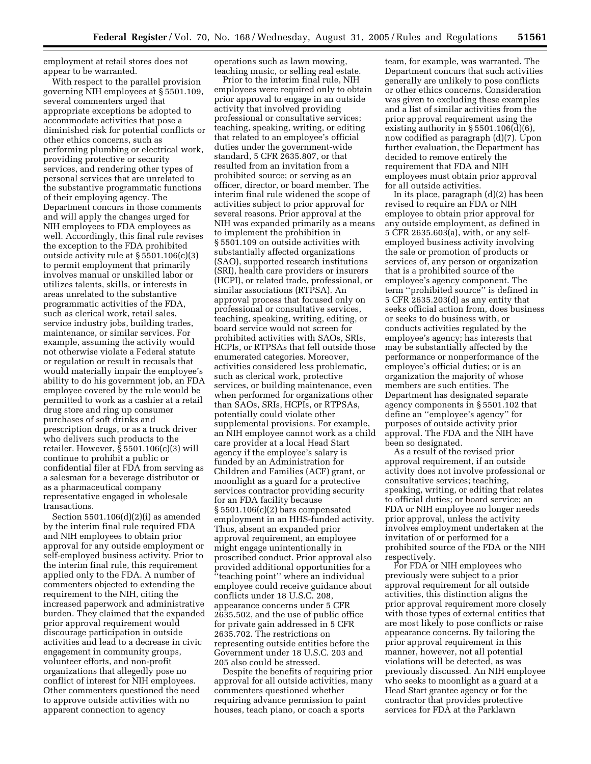employment at retail stores does not appear to be warranted.

With respect to the parallel provision governing NIH employees at § 5501.109, several commenters urged that appropriate exceptions be adopted to accommodate activities that pose a diminished risk for potential conflicts or other ethics concerns, such as performing plumbing or electrical work, providing protective or security services, and rendering other types of personal services that are unrelated to the substantive programmatic functions of their employing agency. The Department concurs in those comments and will apply the changes urged for NIH employees to FDA employees as well. Accordingly, this final rule revises the exception to the FDA prohibited outside activity rule at § 5501.106(c)(3) to permit employment that primarily involves manual or unskilled labor or utilizes talents, skills, or interests in areas unrelated to the substantive programmatic activities of the FDA, such as clerical work, retail sales, service industry jobs, building trades, maintenance, or similar services. For example, assuming the activity would not otherwise violate a Federal statute or regulation or result in recusals that would materially impair the employee's ability to do his government job, an FDA employee covered by the rule would be permitted to work as a cashier at a retail drug store and ring up consumer purchases of soft drinks and prescription drugs, or as a truck driver who delivers such products to the retailer. However, § 5501.106(c)(3) will continue to prohibit a public or confidential filer at FDA from serving as a salesman for a beverage distributor or as a pharmaceutical company representative engaged in wholesale transactions.

Section  $5501.106(d)(2)(i)$  as amended by the interim final rule required FDA and NIH employees to obtain prior approval for any outside employment or self-employed business activity. Prior to the interim final rule, this requirement applied only to the FDA. A number of commenters objected to extending the requirement to the NIH, citing the increased paperwork and administrative burden. They claimed that the expanded prior approval requirement would discourage participation in outside activities and lead to a decrease in civic engagement in community groups, volunteer efforts, and non-profit organizations that allegedly pose no conflict of interest for NIH employees. Other commenters questioned the need to approve outside activities with no apparent connection to agency

operations such as lawn mowing, teaching music, or selling real estate.

Prior to the interim final rule, NIH employees were required only to obtain prior approval to engage in an outside activity that involved providing professional or consultative services; teaching, speaking, writing, or editing that related to an employee's official duties under the government-wide standard, 5 CFR 2635.807, or that resulted from an invitation from a prohibited source; or serving as an officer, director, or board member. The interim final rule widened the scope of activities subject to prior approval for several reasons. Prior approval at the NIH was expanded primarily as a means to implement the prohibition in § 5501.109 on outside activities with substantially affected organizations (SAO), supported research institutions (SRI), health care providers or insurers (HCPI), or related trade, professional, or similar associations (RTPSA). An approval process that focused only on professional or consultative services, teaching, speaking, writing, editing, or board service would not screen for prohibited activities with SAOs, SRIs, HCPIs, or RTPSAs that fell outside those enumerated categories. Moreover, activities considered less problematic, such as clerical work, protective services, or building maintenance, even when performed for organizations other than SAOs, SRIs, HCPIs, or RTPSAs, potentially could violate other supplemental provisions. For example, an NIH employee cannot work as a child care provider at a local Head Start agency if the employee's salary is funded by an Administration for Children and Families (ACF) grant, or moonlight as a guard for a protective services contractor providing security for an FDA facility because § 5501.106(c)(2) bars compensated employment in an HHS-funded activity. Thus, absent an expanded prior approval requirement, an employee might engage unintentionally in proscribed conduct. Prior approval also provided additional opportunities for a ''teaching point'' where an individual employee could receive guidance about conflicts under 18 U.S.C. 208, appearance concerns under 5 CFR 2635.502, and the use of public office for private gain addressed in 5 CFR 2635.702. The restrictions on representing outside entities before the Government under 18 U.S.C. 203 and 205 also could be stressed.

Despite the benefits of requiring prior approval for all outside activities, many commenters questioned whether requiring advance permission to paint houses, teach piano, or coach a sports

team, for example, was warranted. The Department concurs that such activities generally are unlikely to pose conflicts or other ethics concerns. Consideration was given to excluding these examples and a list of similar activities from the prior approval requirement using the existing authority in § 5501.106(d)(6), now codified as paragraph (d)(7). Upon further evaluation, the Department has decided to remove entirely the requirement that FDA and NIH employees must obtain prior approval for all outside activities.

In its place, paragraph (d)(2) has been revised to require an FDA or NIH employee to obtain prior approval for any outside employment, as defined in 5 CFR 2635.603(a), with, or any selfemployed business activity involving the sale or promotion of products or services of, any person or organization that is a prohibited source of the employee's agency component. The term ''prohibited source'' is defined in 5 CFR 2635.203(d) as any entity that seeks official action from, does business or seeks to do business with, or conducts activities regulated by the employee's agency; has interests that may be substantially affected by the performance or nonperformance of the employee's official duties; or is an organization the majority of whose members are such entities. The Department has designated separate agency components in § 5501.102 that define an ''employee's agency'' for purposes of outside activity prior approval. The FDA and the NIH have been so designated.

As a result of the revised prior approval requirement, if an outside activity does not involve professional or consultative services; teaching, speaking, writing, or editing that relates to official duties; or board service; an FDA or NIH employee no longer needs prior approval, unless the activity involves employment undertaken at the invitation of or performed for a prohibited source of the FDA or the NIH respectively.

For FDA or NIH employees who previously were subject to a prior approval requirement for all outside activities, this distinction aligns the prior approval requirement more closely with those types of external entities that are most likely to pose conflicts or raise appearance concerns. By tailoring the prior approval requirement in this manner, however, not all potential violations will be detected, as was previously discussed. An NIH employee who seeks to moonlight as a guard at a Head Start grantee agency or for the contractor that provides protective services for FDA at the Parklawn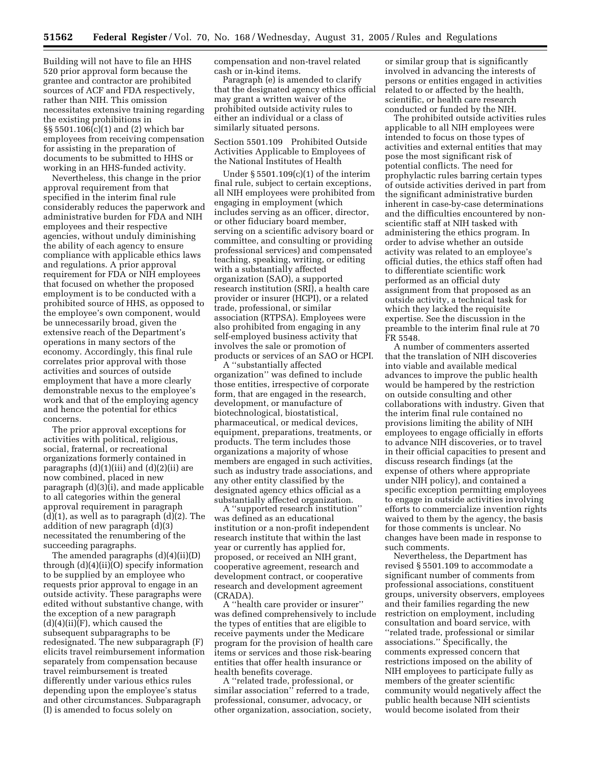Building will not have to file an HHS 520 prior approval form because the grantee and contractor are prohibited sources of ACF and FDA respectively, rather than NIH. This omission necessitates extensive training regarding the existing prohibitions in §§ 5501.106(c)(1) and (2) which bar employees from receiving compensation for assisting in the preparation of documents to be submitted to HHS or working in an HHS-funded activity.

Nevertheless, this change in the prior approval requirement from that specified in the interim final rule considerably reduces the paperwork and administrative burden for FDA and NIH employees and their respective agencies, without unduly diminishing the ability of each agency to ensure compliance with applicable ethics laws and regulations. A prior approval requirement for FDA or NIH employees that focused on whether the proposed employment is to be conducted with a prohibited source of HHS, as opposed to the employee's own component, would be unnecessarily broad, given the extensive reach of the Department's operations in many sectors of the economy. Accordingly, this final rule correlates prior approval with those activities and sources of outside employment that have a more clearly demonstrable nexus to the employee's work and that of the employing agency and hence the potential for ethics concerns.

The prior approval exceptions for activities with political, religious, social, fraternal, or recreational organizations formerly contained in paragraphs  $(d)(1)(iii)$  and  $(d)(2)(ii)$  are now combined, placed in new paragraph (d)(3)(i), and made applicable to all categories within the general approval requirement in paragraph  $(d)(1)$ , as well as to paragraph  $(d)(2)$ . The addition of new paragraph (d)(3) necessitated the renumbering of the succeeding paragraphs.

The amended paragraphs (d)(4)(ii)(D) through (d)(4)(ii)(O) specify information to be supplied by an employee who requests prior approval to engage in an outside activity. These paragraphs were edited without substantive change, with the exception of a new paragraph  $(d)(4)(ii)(F)$ , which caused the subsequent subparagraphs to be redesignated. The new subparagraph (F) elicits travel reimbursement information separately from compensation because travel reimbursement is treated differently under various ethics rules depending upon the employee's status and other circumstances. Subparagraph (I) is amended to focus solely on

compensation and non-travel related cash or in-kind items.

Paragraph (e) is amended to clarify that the designated agency ethics official may grant a written waiver of the prohibited outside activity rules to either an individual or a class of similarly situated persons.

Section 5501.109 Prohibited Outside Activities Applicable to Employees of the National Institutes of Health

Under § 5501.109(c)(1) of the interim final rule, subject to certain exceptions, all NIH employees were prohibited from engaging in employment (which includes serving as an officer, director, or other fiduciary board member, serving on a scientific advisory board or committee, and consulting or providing professional services) and compensated teaching, speaking, writing, or editing with a substantially affected organization (SAO), a supported research institution (SRI), a health care provider or insurer (HCPI), or a related trade, professional, or similar association (RTPSA). Employees were also prohibited from engaging in any self-employed business activity that involves the sale or promotion of products or services of an SAO or HCPI.

A ''substantially affected organization'' was defined to include those entities, irrespective of corporate form, that are engaged in the research, development, or manufacture of biotechnological, biostatistical, pharmaceutical, or medical devices, equipment, preparations, treatments, or products. The term includes those organizations a majority of whose members are engaged in such activities, such as industry trade associations, and any other entity classified by the designated agency ethics official as a substantially affected organization.

A ''supported research institution'' was defined as an educational institution or a non-profit independent research institute that within the last year or currently has applied for, proposed, or received an NIH grant, cooperative agreement, research and development contract, or cooperative research and development agreement (CRADA).

A ''health care provider or insurer'' was defined comprehensively to include the types of entities that are eligible to receive payments under the Medicare program for the provision of health care items or services and those risk-bearing entities that offer health insurance or health benefits coverage.

A ''related trade, professional, or similar association'' referred to a trade, professional, consumer, advocacy, or other organization, association, society,

or similar group that is significantly involved in advancing the interests of persons or entities engaged in activities related to or affected by the health, scientific, or health care research conducted or funded by the NIH.

The prohibited outside activities rules applicable to all NIH employees were intended to focus on those types of activities and external entities that may pose the most significant risk of potential conflicts. The need for prophylactic rules barring certain types of outside activities derived in part from the significant administrative burden inherent in case-by-case determinations and the difficulties encountered by nonscientific staff at NIH tasked with administering the ethics program. In order to advise whether an outside activity was related to an employee's official duties, the ethics staff often had to differentiate scientific work performed as an official duty assignment from that proposed as an outside activity, a technical task for which they lacked the requisite expertise. See the discussion in the preamble to the interim final rule at 70 FR 5548.

A number of commenters asserted that the translation of NIH discoveries into viable and available medical advances to improve the public health would be hampered by the restriction on outside consulting and other collaborations with industry. Given that the interim final rule contained no provisions limiting the ability of NIH employees to engage officially in efforts to advance NIH discoveries, or to travel in their official capacities to present and discuss research findings (at the expense of others where appropriate under NIH policy), and contained a specific exception permitting employees to engage in outside activities involving efforts to commercialize invention rights waived to them by the agency, the basis for those comments is unclear. No changes have been made in response to such comments.

Nevertheless, the Department has revised § 5501.109 to accommodate a significant number of comments from professional associations, constituent groups, university observers, employees and their families regarding the new restriction on employment, including consultation and board service, with ''related trade, professional or similar associations.'' Specifically, the comments expressed concern that restrictions imposed on the ability of NIH employees to participate fully as members of the greater scientific community would negatively affect the public health because NIH scientists would become isolated from their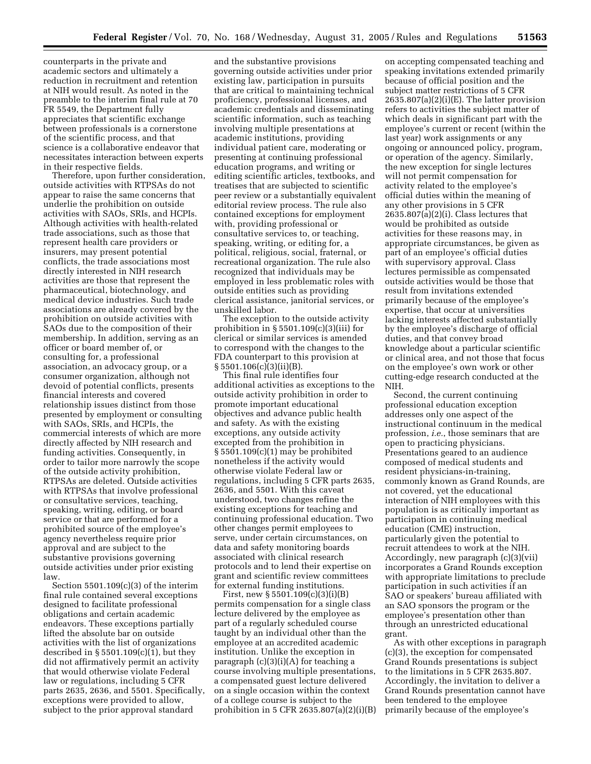counterparts in the private and academic sectors and ultimately a reduction in recruitment and retention at NIH would result. As noted in the preamble to the interim final rule at 70 FR 5549, the Department fully appreciates that scientific exchange between professionals is a cornerstone of the scientific process, and that science is a collaborative endeavor that necessitates interaction between experts in their respective fields.

Therefore, upon further consideration, outside activities with RTPSAs do not appear to raise the same concerns that underlie the prohibition on outside activities with SAOs, SRIs, and HCPIs. Although activities with health-related trade associations, such as those that represent health care providers or insurers, may present potential conflicts, the trade associations most directly interested in NIH research activities are those that represent the pharmaceutical, biotechnology, and medical device industries. Such trade associations are already covered by the prohibition on outside activities with SAOs due to the composition of their membership. In addition, serving as an officer or board member of, or consulting for, a professional association, an advocacy group, or a consumer organization, although not devoid of potential conflicts, presents financial interests and covered relationship issues distinct from those presented by employment or consulting with SAOs, SRIs, and HCPIs, the commercial interests of which are more directly affected by NIH research and funding activities. Consequently, in order to tailor more narrowly the scope of the outside activity prohibition, RTPSAs are deleted. Outside activities with RTPSAs that involve professional or consultative services, teaching, speaking, writing, editing, or board service or that are performed for a prohibited source of the employee's agency nevertheless require prior approval and are subject to the substantive provisions governing outside activities under prior existing law.

Section 5501.109(c)(3) of the interim final rule contained several exceptions designed to facilitate professional obligations and certain academic endeavors. These exceptions partially lifted the absolute bar on outside activities with the list of organizations described in  $\S 5501.109(c)(1)$ , but they did not affirmatively permit an activity that would otherwise violate Federal law or regulations, including 5 CFR parts 2635, 2636, and 5501. Specifically, exceptions were provided to allow, subject to the prior approval standard

and the substantive provisions governing outside activities under prior existing law, participation in pursuits that are critical to maintaining technical proficiency, professional licenses, and academic credentials and disseminating scientific information, such as teaching involving multiple presentations at academic institutions, providing individual patient care, moderating or presenting at continuing professional education programs, and writing or editing scientific articles, textbooks, and treatises that are subjected to scientific peer review or a substantially equivalent editorial review process. The rule also contained exceptions for employment with, providing professional or consultative services to, or teaching, speaking, writing, or editing for, a political, religious, social, fraternal, or recreational organization. The rule also recognized that individuals may be employed in less problematic roles with outside entities such as providing clerical assistance, janitorial services, or unskilled labor.

The exception to the outside activity prohibition in  $\S 5501.109(c)(3)(iii)$  for clerical or similar services is amended to correspond with the changes to the FDA counterpart to this provision at § 5501.106(c)(3)(ii)(B).

This final rule identifies four additional activities as exceptions to the outside activity prohibition in order to promote important educational objectives and advance public health and safety. As with the existing exceptions, any outside activity excepted from the prohibition in § 5501.109(c)(1) may be prohibited nonetheless if the activity would otherwise violate Federal law or regulations, including 5 CFR parts 2635, 2636, and 5501. With this caveat understood, two changes refine the existing exceptions for teaching and continuing professional education. Two other changes permit employees to serve, under certain circumstances, on data and safety monitoring boards associated with clinical research protocols and to lend their expertise on grant and scientific review committees for external funding institutions.

First, new § 5501.109(c)(3)(i)(B) permits compensation for a single class lecture delivered by the employee as part of a regularly scheduled course taught by an individual other than the employee at an accredited academic institution. Unlike the exception in paragraph (c)(3)(i)(A) for teaching a course involving multiple presentations, a compensated guest lecture delivered on a single occasion within the context of a college course is subject to the prohibition in 5 CFR 2635.807(a)(2)(i)(B)

on accepting compensated teaching and speaking invitations extended primarily because of official position and the subject matter restrictions of 5 CFR  $2635.807(a)(2)(i)(E)$ . The latter provision refers to activities the subject matter of which deals in significant part with the employee's current or recent (within the last year) work assignments or any ongoing or announced policy, program, or operation of the agency. Similarly, the new exception for single lectures will not permit compensation for activity related to the employee's official duties within the meaning of any other provisions in 5 CFR  $26\overline{3}5.807\left(\frac{1}{2}\right)(1)$ . Class lectures that would be prohibited as outside activities for these reasons may, in appropriate circumstances, be given as part of an employee's official duties with supervisory approval. Class lectures permissible as compensated outside activities would be those that result from invitations extended primarily because of the employee's expertise, that occur at universities lacking interests affected substantially by the employee's discharge of official duties, and that convey broad knowledge about a particular scientific or clinical area, and not those that focus on the employee's own work or other cutting-edge research conducted at the NIH.

Second, the current continuing professional education exception addresses only one aspect of the instructional continuum in the medical profession, *i.e.*, those seminars that are open to practicing physicians. Presentations geared to an audience composed of medical students and resident physicians-in-training, commonly known as Grand Rounds, are not covered, yet the educational interaction of NIH employees with this population is as critically important as participation in continuing medical education (CME) instruction, particularly given the potential to recruit attendees to work at the NIH. Accordingly, new paragraph (c)(3)(vii) incorporates a Grand Rounds exception with appropriate limitations to preclude participation in such activities if an SAO or speakers' bureau affiliated with an SAO sponsors the program or the employee's presentation other than through an unrestricted educational grant.

As with other exceptions in paragraph (c)(3), the exception for compensated Grand Rounds presentations is subject to the limitations in 5 CFR 2635.807. Accordingly, the invitation to deliver a Grand Rounds presentation cannot have been tendered to the employee primarily because of the employee's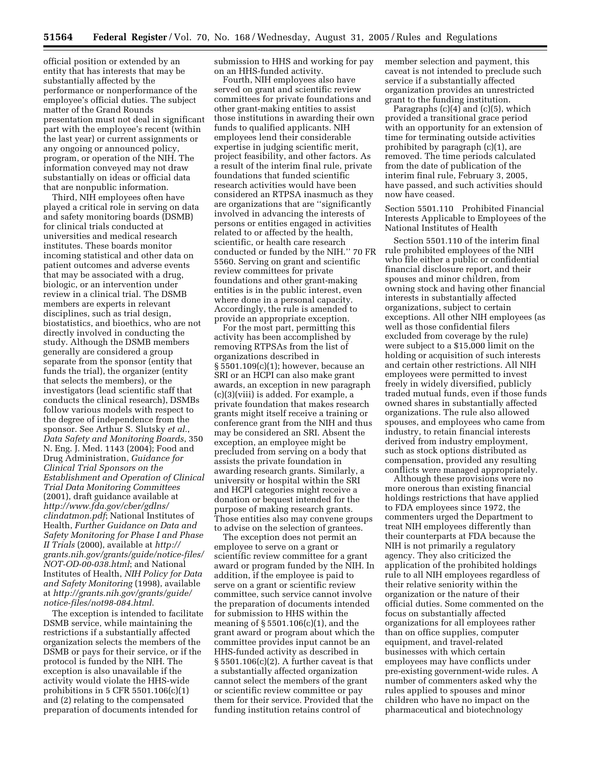official position or extended by an entity that has interests that may be substantially affected by the performance or nonperformance of the employee's official duties. The subject matter of the Grand Rounds presentation must not deal in significant part with the employee's recent (within the last year) or current assignments or any ongoing or announced policy, program, or operation of the NIH. The information conveyed may not draw substantially on ideas or official data that are nonpublic information.

Third, NIH employees often have played a critical role in serving on data and safety monitoring boards (DSMB) for clinical trials conducted at universities and medical research institutes. These boards monitor incoming statistical and other data on patient outcomes and adverse events that may be associated with a drug, biologic, or an intervention under review in a clinical trial. The DSMB members are experts in relevant disciplines, such as trial design, biostatistics, and bioethics, who are not directly involved in conducting the study. Although the DSMB members generally are considered a group separate from the sponsor (entity that funds the trial), the organizer (entity that selects the members), or the investigators (lead scientific staff that conducts the clinical research), DSMBs follow various models with respect to the degree of independence from the sponsor. See Arthur S. Slutsky *et al.*, *Data Safety and Monitoring Boards*, 350 N. Eng. J. Med. 1143 (2004); Food and Drug Administration, *Guidance for Clinical Trial Sponsors on the Establishment and Operation of Clinical Trial Data Monitoring Committees*  (2001), draft guidance available at *[http://www.fda.gov/cber/gdlns/](http://www.fda.gov/cber/gdlns/clindatmon.pdf)  clindatmon.pdf*; National Institutes of Health, *Further Guidance on Data and Safety Monitoring for Phase I and Phase II Trials* (2000), available at *http:// [grants.nih.gov/grants/guide/notice-files/](http://grants.nih.gov/grants/guide/notice-files/NOT-OD-00-038.html)  NOT-OD-00-038.html*; and National Institutes of Health, *NIH Policy for Data and Safety Monitoring* (1998), available at *[http://grants.nih.gov/grants/guide/](http://grants.nih.gov/grants/guide/notice-files/not98-084.html)  notice-files/not98-084.html*.

The exception is intended to facilitate DSMB service, while maintaining the restrictions if a substantially affected organization selects the members of the DSMB or pays for their service, or if the protocol is funded by the NIH. The exception is also unavailable if the activity would violate the HHS-wide prohibitions in 5 CFR 5501.106(c)(1) and (2) relating to the compensated preparation of documents intended for

submission to HHS and working for pay on an HHS-funded activity.

Fourth, NIH employees also have served on grant and scientific review committees for private foundations and other grant-making entities to assist those institutions in awarding their own funds to qualified applicants. NIH employees lend their considerable expertise in judging scientific merit, project feasibility, and other factors. As a result of the interim final rule, private foundations that funded scientific research activities would have been considered an RTPSA inasmuch as they are organizations that are ''significantly involved in advancing the interests of persons or entities engaged in activities related to or affected by the health, scientific, or health care research conducted or funded by the NIH.'' 70 FR 5560. Serving on grant and scientific review committees for private foundations and other grant-making entities is in the public interest, even where done in a personal capacity. Accordingly, the rule is amended to provide an appropriate exception.

For the most part, permitting this activity has been accomplished by removing RTPSAs from the list of organizations described in § 5501.109(c)(1); however, because an SRI or an HCPI can also make grant awards, an exception in new paragraph (c)(3)(viii) is added. For example, a private foundation that makes research grants might itself receive a training or conference grant from the NIH and thus may be considered an SRI. Absent the exception, an employee might be precluded from serving on a body that assists the private foundation in awarding research grants. Similarly, a university or hospital within the SRI and HCPI categories might receive a donation or bequest intended for the purpose of making research grants. Those entities also may convene groups to advise on the selection of grantees.

The exception does not permit an employee to serve on a grant or scientific review committee for a grant award or program funded by the NIH. In addition, if the employee is paid to serve on a grant or scientific review committee, such service cannot involve the preparation of documents intended for submission to HHS within the meaning of § 5501.106(c)(1), and the grant award or program about which the committee provides input cannot be an HHS-funded activity as described in  $\S 5501.106(c)(2)$ . A further caveat is that a substantially affected organization cannot select the members of the grant or scientific review committee or pay them for their service. Provided that the funding institution retains control of

member selection and payment, this caveat is not intended to preclude such service if a substantially affected organization provides an unrestricted grant to the funding institution.

Paragraphs  $(c)(4)$  and  $(c)(5)$ , which provided a transitional grace period with an opportunity for an extension of time for terminating outside activities prohibited by paragraph (c)(1), are removed. The time periods calculated from the date of publication of the interim final rule, February 3, 2005, have passed, and such activities should now have ceased.

Section 5501.110 Prohibited Financial Interests Applicable to Employees of the National Institutes of Health

Section 5501.110 of the interim final rule prohibited employees of the NIH who file either a public or confidential financial disclosure report, and their spouses and minor children, from owning stock and having other financial interests in substantially affected organizations, subject to certain exceptions. All other NIH employees (as well as those confidential filers excluded from coverage by the rule) were subject to a \$15,000 limit on the holding or acquisition of such interests and certain other restrictions. All NIH employees were permitted to invest freely in widely diversified, publicly traded mutual funds, even if those funds owned shares in substantially affected organizations. The rule also allowed spouses, and employees who came from industry, to retain financial interests derived from industry employment, such as stock options distributed as compensation, provided any resulting conflicts were managed appropriately.

Although these provisions were no more onerous than existing financial holdings restrictions that have applied to FDA employees since 1972, the commenters urged the Department to treat NIH employees differently than their counterparts at FDA because the NIH is not primarily a regulatory agency. They also criticized the application of the prohibited holdings rule to all NIH employees regardless of their relative seniority within the organization or the nature of their official duties. Some commented on the focus on substantially affected organizations for all employees rather than on office supplies, computer equipment, and travel-related businesses with which certain employees may have conflicts under pre-existing government-wide rules. A number of commenters asked why the rules applied to spouses and minor children who have no impact on the pharmaceutical and biotechnology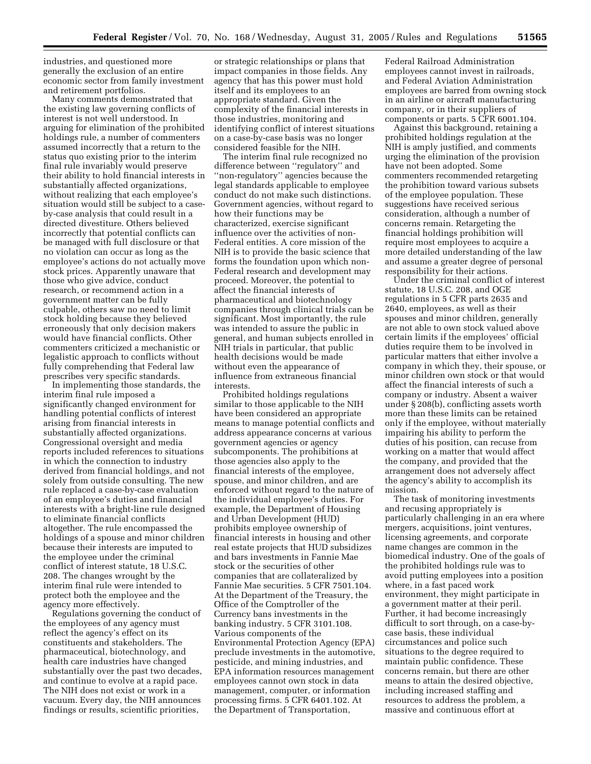industries, and questioned more generally the exclusion of an entire economic sector from family investment and retirement portfolios.

Many comments demonstrated that the existing law governing conflicts of interest is not well understood. In arguing for elimination of the prohibited holdings rule, a number of commenters assumed incorrectly that a return to the status quo existing prior to the interim final rule invariably would preserve their ability to hold financial interests in substantially affected organizations, without realizing that each employee's situation would still be subject to a caseby-case analysis that could result in a directed divestiture. Others believed incorrectly that potential conflicts can be managed with full disclosure or that no violation can occur as long as the employee's actions do not actually move stock prices. Apparently unaware that those who give advice, conduct research, or recommend action in a government matter can be fully culpable, others saw no need to limit stock holding because they believed erroneously that only decision makers would have financial conflicts. Other commenters criticized a mechanistic or legalistic approach to conflicts without fully comprehending that Federal law prescribes very specific standards.

In implementing those standards, the interim final rule imposed a significantly changed environment for handling potential conflicts of interest arising from financial interests in substantially affected organizations. Congressional oversight and media reports included references to situations in which the connection to industry derived from financial holdings, and not solely from outside consulting. The new rule replaced a case-by-case evaluation of an employee's duties and financial interests with a bright-line rule designed to eliminate financial conflicts altogether. The rule encompassed the holdings of a spouse and minor children because their interests are imputed to the employee under the criminal conflict of interest statute, 18 U.S.C. 208. The changes wrought by the interim final rule were intended to protect both the employee and the agency more effectively.

Regulations governing the conduct of the employees of any agency must reflect the agency's effect on its constituents and stakeholders. The pharmaceutical, biotechnology, and health care industries have changed substantially over the past two decades, and continue to evolve at a rapid pace. The NIH does not exist or work in a vacuum. Every day, the NIH announces findings or results, scientific priorities,

or strategic relationships or plans that impact companies in those fields. Any agency that has this power must hold itself and its employees to an appropriate standard. Given the complexity of the financial interests in those industries, monitoring and identifying conflict of interest situations on a case-by-case basis was no longer considered feasible for the NIH.

The interim final rule recognized no difference between ''regulatory'' and ''non-regulatory'' agencies because the legal standards applicable to employee conduct do not make such distinctions. Government agencies, without regard to how their functions may be characterized, exercise significant influence over the activities of non-Federal entities. A core mission of the NIH is to provide the basic science that forms the foundation upon which non-Federal research and development may proceed. Moreover, the potential to affect the financial interests of pharmaceutical and biotechnology companies through clinical trials can be significant. Most importantly, the rule was intended to assure the public in general, and human subjects enrolled in NIH trials in particular, that public health decisions would be made without even the appearance of influence from extraneous financial interests.

Prohibited holdings regulations similar to those applicable to the NIH have been considered an appropriate means to manage potential conflicts and address appearance concerns at various government agencies or agency subcomponents. The prohibitions at those agencies also apply to the financial interests of the employee, spouse, and minor children, and are enforced without regard to the nature of the individual employee's duties. For example, the Department of Housing and Urban Development (HUD) prohibits employee ownership of financial interests in housing and other real estate projects that HUD subsidizes and bars investments in Fannie Mae stock or the securities of other companies that are collateralized by Fannie Mae securities. 5 CFR 7501.104. At the Department of the Treasury, the Office of the Comptroller of the Currency bans investments in the banking industry. 5 CFR 3101.108. Various components of the Environmental Protection Agency (EPA) preclude investments in the automotive, pesticide, and mining industries, and EPA information resources management employees cannot own stock in data management, computer, or information processing firms. 5 CFR 6401.102. At the Department of Transportation,

Federal Railroad Administration employees cannot invest in railroads, and Federal Aviation Administration employees are barred from owning stock in an airline or aircraft manufacturing company, or in their suppliers of components or parts. 5 CFR 6001.104.

Against this background, retaining a prohibited holdings regulation at the NIH is amply justified, and comments urging the elimination of the provision have not been adopted. Some commenters recommended retargeting the prohibition toward various subsets of the employee population. These suggestions have received serious consideration, although a number of concerns remain. Retargeting the financial holdings prohibition will require most employees to acquire a more detailed understanding of the law and assume a greater degree of personal responsibility for their actions.

Under the criminal conflict of interest statute, 18 U.S.C. 208, and OGE regulations in 5 CFR parts 2635 and 2640, employees, as well as their spouses and minor children, generally are not able to own stock valued above certain limits if the employees' official duties require them to be involved in particular matters that either involve a company in which they, their spouse, or minor children own stock or that would affect the financial interests of such a company or industry. Absent a waiver under § 208(b), conflicting assets worth more than these limits can be retained only if the employee, without materially impairing his ability to perform the duties of his position, can recuse from working on a matter that would affect the company, and provided that the arrangement does not adversely affect the agency's ability to accomplish its mission.

The task of monitoring investments and recusing appropriately is particularly challenging in an era where mergers, acquisitions, joint ventures, licensing agreements, and corporate name changes are common in the biomedical industry. One of the goals of the prohibited holdings rule was to avoid putting employees into a position where, in a fast paced work environment, they might participate in a government matter at their peril. Further, it had become increasingly difficult to sort through, on a case-bycase basis, these individual circumstances and police such situations to the degree required to maintain public confidence. These concerns remain, but there are other means to attain the desired objective, including increased staffing and resources to address the problem, a massive and continuous effort at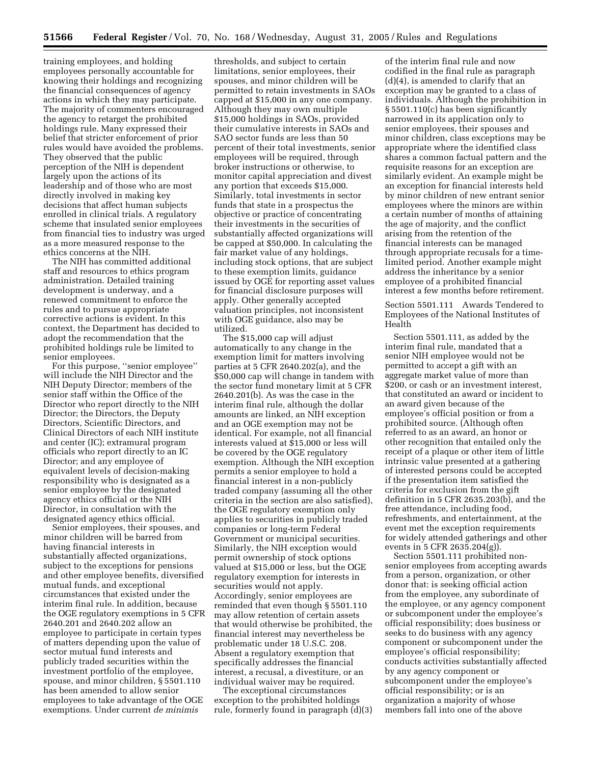training employees, and holding employees personally accountable for knowing their holdings and recognizing the financial consequences of agency actions in which they may participate. The majority of commenters encouraged the agency to retarget the prohibited holdings rule. Many expressed their belief that stricter enforcement of prior rules would have avoided the problems. They observed that the public perception of the NIH is dependent largely upon the actions of its leadership and of those who are most directly involved in making key decisions that affect human subjects enrolled in clinical trials. A regulatory scheme that insulated senior employees from financial ties to industry was urged as a more measured response to the ethics concerns at the NIH.

The NIH has committed additional staff and resources to ethics program administration. Detailed training development is underway, and a renewed commitment to enforce the rules and to pursue appropriate corrective actions is evident. In this context, the Department has decided to adopt the recommendation that the prohibited holdings rule be limited to senior employees.

For this purpose, "senior employee" will include the NIH Director and the NIH Deputy Director; members of the senior staff within the Office of the Director who report directly to the NIH Director; the Directors, the Deputy Directors, Scientific Directors, and Clinical Directors of each NIH institute and center (IC); extramural program officials who report directly to an IC Director; and any employee of equivalent levels of decision-making responsibility who is designated as a senior employee by the designated agency ethics official or the NIH Director, in consultation with the designated agency ethics official.

Senior employees, their spouses, and minor children will be barred from having financial interests in substantially affected organizations, subject to the exceptions for pensions and other employee benefits, diversified mutual funds, and exceptional circumstances that existed under the interim final rule. In addition, because the OGE regulatory exemptions in 5 CFR 2640.201 and 2640.202 allow an employee to participate in certain types of matters depending upon the value of sector mutual fund interests and publicly traded securities within the investment portfolio of the employee, spouse, and minor children, § 5501.110 has been amended to allow senior employees to take advantage of the OGE exemptions. Under current *de minimis* 

thresholds, and subject to certain limitations, senior employees, their spouses, and minor children will be permitted to retain investments in SAOs capped at \$15,000 in any one company. Although they may own multiple \$15,000 holdings in SAOs, provided their cumulative interests in SAOs and SAO sector funds are less than 50 percent of their total investments, senior employees will be required, through broker instructions or otherwise, to monitor capital appreciation and divest any portion that exceeds \$15,000. Similarly, total investments in sector funds that state in a prospectus the objective or practice of concentrating their investments in the securities of substantially affected organizations will be capped at \$50,000. In calculating the fair market value of any holdings, including stock options, that are subject to these exemption limits, guidance issued by OGE for reporting asset values for financial disclosure purposes will apply. Other generally accepted valuation principles, not inconsistent with OGE guidance, also may be utilized.

The \$15,000 cap will adjust automatically to any change in the exemption limit for matters involving parties at 5 CFR 2640.202(a), and the \$50,000 cap will change in tandem with the sector fund monetary limit at 5 CFR 2640.201(b). As was the case in the interim final rule, although the dollar amounts are linked, an NIH exception and an OGE exemption may not be identical. For example, not all financial interests valued at \$15,000 or less will be covered by the OGE regulatory exemption. Although the NIH exception permits a senior employee to hold a financial interest in a non-publicly traded company (assuming all the other criteria in the section are also satisfied), the OGE regulatory exemption only applies to securities in publicly traded companies or long-term Federal Government or municipal securities. Similarly, the NIH exception would permit ownership of stock options valued at \$15,000 or less, but the OGE regulatory exemption for interests in securities would not apply. Accordingly, senior employees are reminded that even though § 5501.110 may allow retention of certain assets that would otherwise be prohibited, the financial interest may nevertheless be problematic under 18 U.S.C. 208. Absent a regulatory exemption that specifically addresses the financial interest, a recusal, a divestiture, or an individual waiver may be required.

The exceptional circumstances exception to the prohibited holdings rule, formerly found in paragraph (d)(3)

of the interim final rule and now codified in the final rule as paragraph (d)(4), is amended to clarify that an exception may be granted to a class of individuals. Although the prohibition in § 5501.110(c) has been significantly narrowed in its application only to senior employees, their spouses and minor children, class exceptions may be appropriate where the identified class shares a common factual pattern and the requisite reasons for an exception are similarly evident. An example might be an exception for financial interests held by minor children of new entrant senior employees where the minors are within a certain number of months of attaining the age of majority, and the conflict arising from the retention of the financial interests can be managed through appropriate recusals for a timelimited period. Another example might address the inheritance by a senior employee of a prohibited financial interest a few months before retirement.

Section 5501.111 Awards Tendered to Employees of the National Institutes of Health

Section 5501.111, as added by the interim final rule, mandated that a senior NIH employee would not be permitted to accept a gift with an aggregate market value of more than \$200, or cash or an investment interest, that constituted an award or incident to an award given because of the employee's official position or from a prohibited source. (Although often referred to as an award, an honor or other recognition that entailed only the receipt of a plaque or other item of little intrinsic value presented at a gathering of interested persons could be accepted if the presentation item satisfied the criteria for exclusion from the gift definition in 5 CFR 2635.203(b), and the free attendance, including food, refreshments, and entertainment, at the event met the exception requirements for widely attended gatherings and other events in 5 CFR 2635.204(g)).

Section 5501.111 prohibited nonsenior employees from accepting awards from a person, organization, or other donor that: is seeking official action from the employee, any subordinate of the employee, or any agency component or subcomponent under the employee's official responsibility; does business or seeks to do business with any agency component or subcomponent under the employee's official responsibility; conducts activities substantially affected by any agency component or subcomponent under the employee's official responsibility; or is an organization a majority of whose members fall into one of the above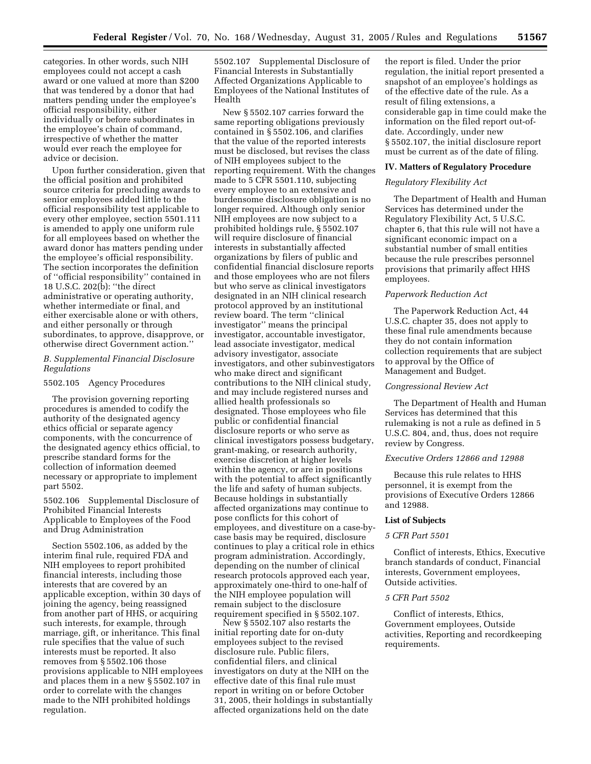categories. In other words, such NIH employees could not accept a cash award or one valued at more than \$200 that was tendered by a donor that had matters pending under the employee's official responsibility, either individually or before subordinates in the employee's chain of command, irrespective of whether the matter would ever reach the employee for advice or decision.

Upon further consideration, given that the official position and prohibited source criteria for precluding awards to senior employees added little to the official responsibility test applicable to every other employee, section 5501.111 is amended to apply one uniform rule for all employees based on whether the award donor has matters pending under the employee's official responsibility. The section incorporates the definition of ''official responsibility'' contained in 18 U.S.C. 202(b): ''the direct administrative or operating authority, whether intermediate or final, and either exercisable alone or with others, and either personally or through subordinates, to approve, disapprove, or otherwise direct Government action.''

## *B. Supplemental Financial Disclosure Regulations*

# 5502.105 Agency Procedures

The provision governing reporting procedures is amended to codify the authority of the designated agency ethics official or separate agency components, with the concurrence of the designated agency ethics official, to prescribe standard forms for the collection of information deemed necessary or appropriate to implement part 5502.

5502.106 Supplemental Disclosure of Prohibited Financial Interests Applicable to Employees of the Food and Drug Administration

Section 5502.106, as added by the interim final rule, required FDA and NIH employees to report prohibited financial interests, including those interests that are covered by an applicable exception, within 30 days of joining the agency, being reassigned from another part of HHS, or acquiring such interests, for example, through marriage, gift, or inheritance. This final rule specifies that the value of such interests must be reported. It also removes from § 5502.106 those provisions applicable to NIH employees and places them in a new § 5502.107 in order to correlate with the changes made to the NIH prohibited holdings regulation.

5502.107 Supplemental Disclosure of Financial Interests in Substantially Affected Organizations Applicable to Employees of the National Institutes of Health

New § 5502.107 carries forward the same reporting obligations previously contained in § 5502.106, and clarifies that the value of the reported interests must be disclosed, but revises the class of NIH employees subject to the reporting requirement. With the changes made to 5 CFR 5501.110, subjecting every employee to an extensive and burdensome disclosure obligation is no longer required. Although only senior NIH employees are now subject to a prohibited holdings rule, § 5502.107 will require disclosure of financial interests in substantially affected organizations by filers of public and confidential financial disclosure reports and those employees who are not filers but who serve as clinical investigators designated in an NIH clinical research protocol approved by an institutional review board. The term ''clinical investigator'' means the principal investigator, accountable investigator, lead associate investigator, medical advisory investigator, associate investigators, and other subinvestigators who make direct and significant contributions to the NIH clinical study, and may include registered nurses and allied health professionals so designated. Those employees who file public or confidential financial disclosure reports or who serve as clinical investigators possess budgetary, grant-making, or research authority, exercise discretion at higher levels within the agency, or are in positions with the potential to affect significantly the life and safety of human subjects. Because holdings in substantially affected organizations may continue to pose conflicts for this cohort of employees, and divestiture on a case-bycase basis may be required, disclosure continues to play a critical role in ethics program administration. Accordingly, depending on the number of clinical research protocols approved each year, approximately one-third to one-half of the NIH employee population will remain subject to the disclosure requirement specified in § 5502.107.

New § 5502.107 also restarts the initial reporting date for on-duty employees subject to the revised disclosure rule. Public filers, confidential filers, and clinical investigators on duty at the NIH on the effective date of this final rule must report in writing on or before October 31, 2005, their holdings in substantially affected organizations held on the date

the report is filed. Under the prior regulation, the initial report presented a snapshot of an employee's holdings as of the effective date of the rule. As a result of filing extensions, a considerable gap in time could make the information on the filed report out-ofdate. Accordingly, under new § 5502.107, the initial disclosure report must be current as of the date of filing.

#### **IV. Matters of Regulatory Procedure**

#### *Regulatory Flexibility Act*

The Department of Health and Human Services has determined under the Regulatory Flexibility Act, 5 U.S.C. chapter 6, that this rule will not have a significant economic impact on a substantial number of small entities because the rule prescribes personnel provisions that primarily affect HHS employees.

#### *Paperwork Reduction Act*

The Paperwork Reduction Act, 44 U.S.C. chapter 35, does not apply to these final rule amendments because they do not contain information collection requirements that are subject to approval by the Office of Management and Budget.

## *Congressional Review Act*

The Department of Health and Human Services has determined that this rulemaking is not a rule as defined in 5 U.S.C. 804, and, thus, does not require review by Congress.

#### *Executive Orders 12866 and 12988*

Because this rule relates to HHS personnel, it is exempt from the provisions of Executive Orders 12866 and 12988.

#### **List of Subjects**

## *5 CFR Part 5501*

Conflict of interests, Ethics, Executive branch standards of conduct, Financial interests, Government employees, Outside activities.

#### *5 CFR Part 5502*

Conflict of interests, Ethics, Government employees, Outside activities, Reporting and recordkeeping requirements.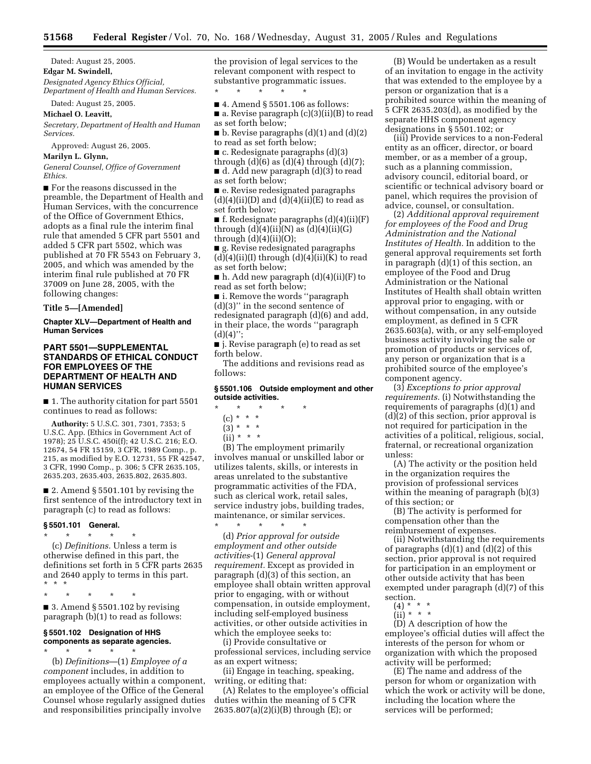Dated: August 25, 2005. **Edgar M. Swindell,**  *Designated Agency Ethics Official, Department of Health and Human Services.* 

Dated: August 25, 2005.

**Michael O. Leavitt,** 

*Secretary, Department of Health and Human Services.* 

Approved: August 26, 2005.

**Marilyn L. Glynn,** 

*General Counsel, Office of Government Ethics.* 

■ For the reasons discussed in the preamble, the Department of Health and Human Services, with the concurrence of the Office of Government Ethics, adopts as a final rule the interim final rule that amended 5 CFR part 5501 and added 5 CFR part 5502, which was published at 70 FR 5543 on February 3, 2005, and which was amended by the interim final rule published at 70 FR 37009 on June 28, 2005, with the following changes:

**Title 5—[Amended]** 

**Chapter XLV—Department of Health and Human Services** 

## **PART 5501—SUPPLEMENTAL STANDARDS OF ETHICAL CONDUCT FOR EMPLOYEES OF THE DEPARTMENT OF HEALTH AND HUMAN SERVICES**

■ 1. The authority citation for part 5501 continues to read as follows:

**Authority:** 5 U.S.C. 301, 7301, 7353; 5 U.S.C. App. (Ethics in Government Act of 1978); 25 U.S.C. 450i(f); 42 U.S.C. 216; E.O. 12674, 54 FR 15159, 3 CFR, 1989 Comp., p. 215, as modified by E.O. 12731, 55 FR 42547, 3 CFR, 1990 Comp., p. 306; 5 CFR 2635.105, 2635.203, 2635.403, 2635.802, 2635.803.

■ 2. Amend § 5501.101 by revising the first sentence of the introductory text in paragraph (c) to read as follows:

# **§ 5501.101 General.**

\* \* \* \* \* (c) *Definitions.* Unless a term is otherwise defined in this part, the definitions set forth in 5 CFR parts 2635 and 2640 apply to terms in this part. \*\*\*

\* \* \* \* \*

 $\blacksquare$  3. Amend § 5501.102 by revising paragraph (b)(1) to read as follows:

## **§ 5501.102 Designation of HHS components as separate agencies.**

\* \* \* \* \* (b) *Definitions*—(1) *Employee of a component* includes, in addition to employees actually within a component, an employee of the Office of the General Counsel whose regularly assigned duties and responsibilities principally involve

the provision of legal services to the relevant component with respect to substantive programmatic issues.

\* \* \* \* \* ■ 4. Amend § 5501.106 as follows: ■ a. Revise paragraph (c)(3)(ii)(B) to read as set forth below;

 $\blacksquare$  b. Revise paragraphs (d)(1) and (d)(2) to read as set forth below;

- c. Redesignate paragraphs (d)(3)
- through  $(d)(6)$  as  $(d)(4)$  through  $(d)(7)$ ; ■ d. Add new paragraph (d)(3) to read as set forth below;

■ e. Revise redesignated paragraphs  $(d)(4)(ii)(D)$  and  $(d)(4)(ii)(E)$  to read as set forth below;

■ f. Redesignate paragraphs (d)(4)(ii)(F) through  $(d)(4)(ii)(N)$  as  $(d)(4)(ii)(G)$ through  $(d)(4)(ii)(O);$ 

■ g. Revise redesignated paragraphs  $(d)(4)(ii)(I)$  through  $(d)(4)(ii)(K)$  to read as set forth below;

 $\blacksquare$  h. Add new paragraph  $(d)(4)(ii)(F)$  to read as set forth below;

■ i. Remove the words "paragraph (d)(3)'' in the second sentence of redesignated paragraph (d)(6) and add, in their place, the words ''paragraph  $(d)(4)$ ";

■ j. Revise paragraph (e) to read as set forth below.

The additions and revisions read as follows:

#### **§ 5501.106 Outside employment and other outside activities.**

- \* \* \* \* \*
	- (c) \* \* \*
	- $(3) * * * *$
	- $(ii) * * * *$

(B) The employment primarily involves manual or unskilled labor or utilizes talents, skills, or interests in areas unrelated to the substantive programmatic activities of the FDA, such as clerical work, retail sales, service industry jobs, building trades, maintenance, or similar services. \* \* \* \* \*

(d) *Prior approval for outside employment and other outside activities*-(1) *General approval requirement.* Except as provided in paragraph (d)(3) of this section, an employee shall obtain written approval prior to engaging, with or without compensation, in outside employment, including self-employed business activities, or other outside activities in which the employee seeks to:

(i) Provide consultative or professional services, including service as an expert witness;

(ii) Engage in teaching, speaking, writing, or editing that:

(A) Relates to the employee's official duties within the meaning of 5 CFR 2635.807(a)(2)(i)(B) through (E); or

(B) Would be undertaken as a result of an invitation to engage in the activity that was extended to the employee by a person or organization that is a prohibited source within the meaning of 5 CFR 2635.203(d), as modified by the separate HHS component agency designations in § 5501.102; or

(iii) Provide services to a non-Federal entity as an officer, director, or board member, or as a member of a group, such as a planning commission, advisory council, editorial board, or scientific or technical advisory board or panel, which requires the provision of advice, counsel, or consultation.

(2) *Additional approval requirement for employees of the Food and Drug Administration and the National Institutes of Health.* In addition to the general approval requirements set forth in paragraph (d)(1) of this section, an employee of the Food and Drug Administration or the National Institutes of Health shall obtain written approval prior to engaging, with or without compensation, in any outside employment, as defined in 5 CFR 2635.603(a), with, or any self-employed business activity involving the sale or promotion of products or services of, any person or organization that is a prohibited source of the employee's component agency.

(3) *Exceptions to prior approval requirements.* (i) Notwithstanding the requirements of paragraphs (d)(1) and (d)(2) of this section, prior approval is not required for participation in the activities of a political, religious, social, fraternal, or recreational organization unless:

(A) The activity or the position held in the organization requires the provision of professional services within the meaning of paragraph (b)(3) of this section; or

(B) The activity is performed for compensation other than the reimbursement of expenses.

(ii) Notwithstanding the requirements of paragraphs (d)(1) and (d)(2) of this section, prior approval is not required for participation in an employment or other outside activity that has been exempted under paragraph (d)(7) of this section.<br>(4)  $*$ 

- (4) \* \* \*
- (ii) \* \* \*

(D) A description of how the employee's official duties will affect the interests of the person for whom or organization with which the proposed activity will be performed;

(E) The name and address of the person for whom or organization with which the work or activity will be done, including the location where the services will be performed;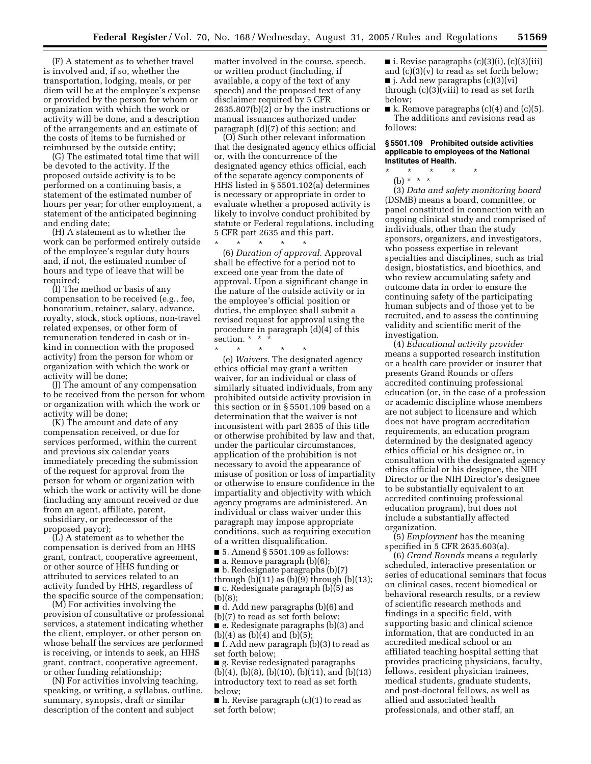(F) A statement as to whether travel is involved and, if so, whether the transportation, lodging, meals, or per diem will be at the employee's expense or provided by the person for whom or organization with which the work or activity will be done, and a description of the arrangements and an estimate of the costs of items to be furnished or reimbursed by the outside entity;

(G) The estimated total time that will be devoted to the activity. If the proposed outside activity is to be performed on a continuing basis, a statement of the estimated number of hours per year; for other employment, a statement of the anticipated beginning and ending date;

(H) A statement as to whether the work can be performed entirely outside of the employee's regular duty hours and, if not, the estimated number of hours and type of leave that will be required:

(I) The method or basis of any compensation to be received (e.g., fee, honorarium, retainer, salary, advance, royalty, stock, stock options, non-travel related expenses, or other form of remuneration tendered in cash or inkind in connection with the proposed activity) from the person for whom or organization with which the work or activity will be done;

(J) The amount of any compensation to be received from the person for whom or organization with which the work or activity will be done;

(K) The amount and date of any compensation received, or due for services performed, within the current and previous six calendar years immediately preceding the submission of the request for approval from the person for whom or organization with which the work or activity will be done (including any amount received or due from an agent, affiliate, parent, subsidiary, or predecessor of the proposed payor);

(L) A statement as to whether the compensation is derived from an HHS grant, contract, cooperative agreement, or other source of HHS funding or attributed to services related to an activity funded by HHS, regardless of the specific source of the compensation;

(M) For activities involving the provision of consultative or professional services, a statement indicating whether the client, employer, or other person on whose behalf the services are performed is receiving, or intends to seek, an HHS grant, contract, cooperative agreement, or other funding relationship;

(N) For activities involving teaching, speaking, or writing, a syllabus, outline, summary, synopsis, draft or similar description of the content and subject

matter involved in the course, speech, or written product (including, if available, a copy of the text of any speech) and the proposed text of any disclaimer required by 5 CFR  $2635.807(b)(2)$  or by the instructions or manual issuances authorized under paragraph (d)(7) of this section; and

(O) Such other relevant information that the designated agency ethics official or, with the concurrence of the designated agency ethics official, each of the separate agency components of HHS listed in § 5501.102(a) determines is necessary or appropriate in order to evaluate whether a proposed activity is likely to involve conduct prohibited by statute or Federal regulations, including 5 CFR part 2635 and this part.

\* \* \* \* \* (6) *Duration of approval.* Approval shall be effective for a period not to exceed one year from the date of approval. Upon a significant change in the nature of the outside activity or in the employee's official position or duties, the employee shall submit a revised request for approval using the procedure in paragraph (d)(4) of this section. \* \* \*

\* \* \* \* \* (e) *Waivers.* The designated agency ethics official may grant a written waiver, for an individual or class of similarly situated individuals, from any prohibited outside activity provision in this section or in § 5501.109 based on a determination that the waiver is not inconsistent with part 2635 of this title or otherwise prohibited by law and that, under the particular circumstances, application of the prohibition is not necessary to avoid the appearance of misuse of position or loss of impartiality or otherwise to ensure confidence in the impartiality and objectivity with which agency programs are administered. An individual or class waiver under this paragraph may impose appropriate conditions, such as requiring execution of a written disqualification.

■ 5. Amend § 5501.109 as follows:

■ a. Remove paragraph (b)(6);

■ b. Redesignate paragraphs (b)(7) through  $(b)(11)$  as  $(b)(9)$  through  $(b)(13)$ ; ■ c. Redesignate paragraph (b)(5) as (b)(8);

■ d. Add new paragraphs (b)(6) and (b)(7) to read as set forth below;

■ e. Redesignate paragraphs (b)(3) and (b)(4) as (b)(4) and (b)(5);

■ f. Add new paragraph (b)(3) to read as set forth below;

■ g. Revise redesignated paragraphs (b)(4), (b)(8), (b)(10), (b)(11), and (b)(13) introductory text to read as set forth below;

■ h. Revise paragraph (c)(1) to read as set forth below;

 $\blacksquare$  i. Revise paragraphs (c)(3)(i), (c)(3)(iii) and (c)(3)(v) to read as set forth below;  $\blacksquare$  j. Add new paragraphs (c)(3)(vi) through (c)(3)(viii) to read as set forth below;

 $\blacksquare$  k. Remove paragraphs (c)(4) and (c)(5). The additions and revisions read as follows:

## **§ 5501.109 Prohibited outside activities applicable to employees of the National Institutes of Health.**

\* \* \* \* \*

(b)  $* * * *$ 

(3) *Data and safety monitoring board*  (DSMB) means a board, committee, or panel constituted in connection with an ongoing clinical study and comprised of individuals, other than the study sponsors, organizers, and investigators, who possess expertise in relevant specialties and disciplines, such as trial design, biostatistics, and bioethics, and who review accumulating safety and outcome data in order to ensure the continuing safety of the participating human subjects and of those yet to be recruited, and to assess the continuing validity and scientific merit of the investigation.

(4) *Educational activity provider*  means a supported research institution or a health care provider or insurer that presents Grand Rounds or offers accredited continuing professional education (or, in the case of a profession or academic discipline whose members are not subject to licensure and which does not have program accreditation requirements, an education program determined by the designated agency ethics official or his designee or, in consultation with the designated agency ethics official or his designee, the NIH Director or the NIH Director's designee to be substantially equivalent to an accredited continuing professional education program), but does not include a substantially affected organization.

(5) *Employment* has the meaning specified in 5 CFR 2635.603(a).

(6) *Grand Rounds* means a regularly scheduled, interactive presentation or series of educational seminars that focus on clinical cases, recent biomedical or behavioral research results, or a review of scientific research methods and findings in a specific field, with supporting basic and clinical science information, that are conducted in an accredited medical school or an affiliated teaching hospital setting that provides practicing physicians, faculty, fellows, resident physician trainees, medical students, graduate students, and post-doctoral fellows, as well as allied and associated health professionals, and other staff, an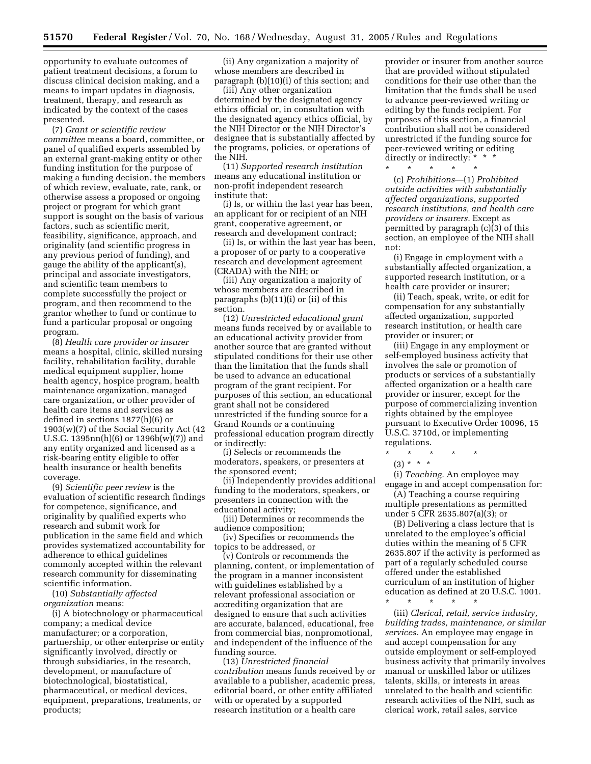opportunity to evaluate outcomes of patient treatment decisions, a forum to discuss clinical decision making, and a means to impart updates in diagnosis, treatment, therapy, and research as indicated by the context of the cases presented.

(7) *Grant or scientific review committee* means a board, committee, or panel of qualified experts assembled by an external grant-making entity or other funding institution for the purpose of making a funding decision, the members of which review, evaluate, rate, rank, or otherwise assess a proposed or ongoing project or program for which grant support is sought on the basis of various factors, such as scientific merit, feasibility, significance, approach, and originality (and scientific progress in any previous period of funding), and gauge the ability of the applicant(s), principal and associate investigators, and scientific team members to complete successfully the project or program, and then recommend to the grantor whether to fund or continue to fund a particular proposal or ongoing program.

(8) *Health care provider or insurer*  means a hospital, clinic, skilled nursing facility, rehabilitation facility, durable medical equipment supplier, home health agency, hospice program, health maintenance organization, managed care organization, or other provider of health care items and services as defined in sections 1877(h)(6) or 1903(w)(7) of the Social Security Act (42 U.S.C. 1395nn(h)(6) or 1396b(w)(7)) and any entity organized and licensed as a risk-bearing entity eligible to offer health insurance or health benefits coverage.

(9) *Scientific peer review* is the evaluation of scientific research findings for competence, significance, and originality by qualified experts who research and submit work for publication in the same field and which provides systematized accountability for adherence to ethical guidelines commonly accepted within the relevant research community for disseminating scientific information.

(10) *Substantially affected organization* means:

(i) A biotechnology or pharmaceutical company; a medical device manufacturer; or a corporation, partnership, or other enterprise or entity significantly involved, directly or through subsidiaries, in the research, development, or manufacture of biotechnological, biostatistical, pharmaceutical, or medical devices, equipment, preparations, treatments, or products;

(ii) Any organization a majority of whose members are described in paragraph (b)(10)(i) of this section; and

(iii) Any other organization determined by the designated agency ethics official or, in consultation with the designated agency ethics official, by the NIH Director or the NIH Director's designee that is substantially affected by the programs, policies, or operations of the NIH.

(11) *Supported research institution*  means any educational institution or non-profit independent research institute that:

(i) Is, or within the last year has been, an applicant for or recipient of an NIH grant, cooperative agreement, or research and development contract;

(ii) Is, or within the last year has been, a proposer of or party to a cooperative research and development agreement (CRADA) with the NIH; or

(iii) Any organization a majority of whose members are described in paragraphs (b)(11)(i) or (ii) of this section.

(12) *Unrestricted educational grant*  means funds received by or available to an educational activity provider from another source that are granted without stipulated conditions for their use other than the limitation that the funds shall be used to advance an educational program of the grant recipient. For purposes of this section, an educational grant shall not be considered unrestricted if the funding source for a Grand Rounds or a continuing professional education program directly or indirectly:

(i) Selects or recommends the moderators, speakers, or presenters at the sponsored event;

(ii) Independently provides additional funding to the moderators, speakers, or presenters in connection with the educational activity;

(iii) Determines or recommends the audience composition;

(iv) Specifies or recommends the topics to be addressed, or

(v) Controls or recommends the planning, content, or implementation of the program in a manner inconsistent with guidelines established by a relevant professional association or accrediting organization that are designed to ensure that such activities are accurate, balanced, educational, free from commercial bias, nonpromotional, and independent of the influence of the funding source.

(13) *Unrestricted financial contribution* means funds received by or available to a publisher, academic press, editorial board, or other entity affiliated with or operated by a supported research institution or a health care

provider or insurer from another source that are provided without stipulated conditions for their use other than the limitation that the funds shall be used to advance peer-reviewed writing or editing by the funds recipient. For purposes of this section, a financial contribution shall not be considered unrestricted if the funding source for peer-reviewed writing or editing directly or indirectly: \* \*

(c) *Prohibitions*—(1) *Prohibited outside activities with substantially affected organizations, supported research institutions, and health care providers or insurers.* Except as permitted by paragraph (c)(3) of this section, an employee of the NIH shall not:

\* \* \* \* \*

(i) Engage in employment with a substantially affected organization, a supported research institution, or a health care provider or insurer;

(ii) Teach, speak, write, or edit for compensation for any substantially affected organization, supported research institution, or health care provider or insurer; or

(iii) Engage in any employment or self-employed business activity that involves the sale or promotion of products or services of a substantially affected organization or a health care provider or insurer, except for the purpose of commercializing invention rights obtained by the employee pursuant to Executive Order 10096, 15 U.S.C. 3710d, or implementing regulations.

\* \* \* \* \*

 $(3) * * * *$ 

(i) *Teaching.* An employee may engage in and accept compensation for:

(A) Teaching a course requiring multiple presentations as permitted under 5 CFR 2635.807(a)(3); or

(B) Delivering a class lecture that is unrelated to the employee's official duties within the meaning of 5 CFR 2635.807 if the activity is performed as part of a regularly scheduled course offered under the established curriculum of an institution of higher education as defined at 20 U.S.C. 1001.

\* \* \* \* \*

(iii) *Clerical, retail, service industry, building trades, maintenance, or similar services.* An employee may engage in and accept compensation for any outside employment or self-employed business activity that primarily involves manual or unskilled labor or utilizes talents, skills, or interests in areas unrelated to the health and scientific research activities of the NIH, such as clerical work, retail sales, service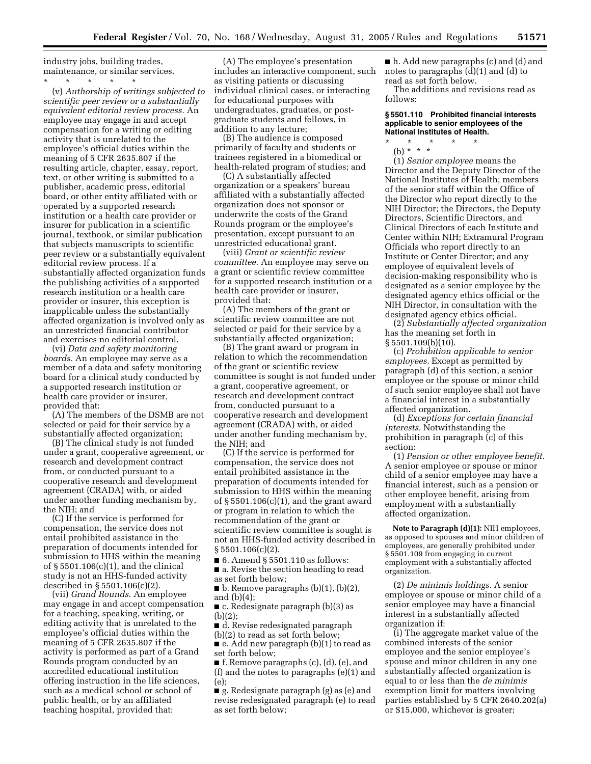industry jobs, building trades, maintenance, or similar services.

\* \* \* \* \* (v) *Authorship of writings subjected to scientific peer review or a substantially equivalent editorial review process.* An employee may engage in and accept compensation for a writing or editing activity that is unrelated to the employee's official duties within the meaning of 5 CFR 2635.807 if the resulting article, chapter, essay, report, text, or other writing is submitted to a publisher, academic press, editorial board, or other entity affiliated with or operated by a supported research institution or a health care provider or insurer for publication in a scientific journal, textbook, or similar publication that subjects manuscripts to scientific peer review or a substantially equivalent editorial review process. If a substantially affected organization funds the publishing activities of a supported research institution or a health care provider or insurer, this exception is inapplicable unless the substantially affected organization is involved only as an unrestricted financial contributor and exercises no editorial control.

(vi) *Data and safety monitoring boards.* An employee may serve as a member of a data and safety monitoring board for a clinical study conducted by a supported research institution or health care provider or insurer, provided that:

(A) The members of the DSMB are not selected or paid for their service by a substantially affected organization;

(B) The clinical study is not funded under a grant, cooperative agreement, or research and development contract from, or conducted pursuant to a cooperative research and development agreement (CRADA) with, or aided under another funding mechanism by, the NIH; and

(C) If the service is performed for compensation, the service does not entail prohibited assistance in the preparation of documents intended for submission to HHS within the meaning of § 5501.106(c)(1), and the clinical study is not an HHS-funded activity described in § 5501.106(c)(2).

(vii) *Grand Rounds.* An employee may engage in and accept compensation for a teaching, speaking, writing, or editing activity that is unrelated to the employee's official duties within the meaning of 5 CFR 2635.807 if the activity is performed as part of a Grand Rounds program conducted by an accredited educational institution offering instruction in the life sciences, such as a medical school or school of public health, or by an affiliated teaching hospital, provided that:

(A) The employee's presentation includes an interactive component, such as visiting patients or discussing individual clinical cases, or interacting for educational purposes with undergraduates, graduates, or postgraduate students and fellows, in addition to any lecture;

(B) The audience is composed primarily of faculty and students or trainees registered in a biomedical or health-related program of studies; and

(C) A substantially affected organization or a speakers' bureau affiliated with a substantially affected organization does not sponsor or underwrite the costs of the Grand Rounds program or the employee's presentation, except pursuant to an unrestricted educational grant.

(viii) *Grant or scientific review committee.* An employee may serve on a grant or scientific review committee for a supported research institution or a health care provider or insurer, provided that:

(A) The members of the grant or scientific review committee are not selected or paid for their service by a substantially affected organization;

(B) The grant award or program in relation to which the recommendation of the grant or scientific review committee is sought is not funded under a grant, cooperative agreement, or research and development contract from, conducted pursuant to a cooperative research and development agreement (CRADA) with, or aided under another funding mechanism by, the NIH; and

(C) If the service is performed for compensation, the service does not entail prohibited assistance in the preparation of documents intended for submission to HHS within the meaning of § 5501.106(c)(1), and the grant award or program in relation to which the recommendation of the grant or scientific review committee is sought is not an HHS-funded activity described in  $§ 5501.106(c)(2)$ .

■ 6. Amend § 5501.110 as follows:

■ a. Revise the section heading to read as set forth below;

 $\blacksquare$  b. Remove paragraphs (b)(1), (b)(2), and (b)(4);

■ c. Redesignate paragraph (b)(3) as (b)(2);

■ d. Revise redesignated paragraph

(b)(2) to read as set forth below;

 $\blacksquare$  e. Add new paragraph (b)(1) to read as set forth below;

■ f. Remove paragraphs (c), (d), (e), and (f) and the notes to paragraphs (e)(1) and (e);

■ g. Redesignate paragraph (g) as (e) and revise redesignated paragraph (e) to read as set forth below;

■ h. Add new paragraphs (c) and (d) and notes to paragraphs (d)(1) and (d) to read as set forth below.

The additions and revisions read as follows:

## **§ 5501.110 Prohibited financial interests applicable to senior employees of the National Institutes of Health.**

\* \* \* \* \*

(b) \* \* \*

(1) *Senior employee* means the Director and the Deputy Director of the National Institutes of Health; members of the senior staff within the Office of the Director who report directly to the NIH Director; the Directors, the Deputy Directors, Scientific Directors, and Clinical Directors of each Institute and Center within NIH; Extramural Program Officials who report directly to an Institute or Center Director; and any employee of equivalent levels of decision-making responsibility who is designated as a senior employee by the designated agency ethics official or the NIH Director, in consultation with the designated agency ethics official.

(2) *Substantially affected organization*  has the meaning set forth in § 5501.109(b)(10).

(c) *Prohibition applicable to senior employees.* Except as permitted by paragraph (d) of this section, a senior employee or the spouse or minor child of such senior employee shall not have a financial interest in a substantially affected organization.

(d) *Exceptions for certain financial interests.* Notwithstanding the prohibition in paragraph (c) of this section:

(1) *Pension or other employee benefit.*  A senior employee or spouse or minor child of a senior employee may have a financial interest, such as a pension or other employee benefit, arising from employment with a substantially affected organization.

**Note to Paragraph (d)(1):** NIH employees, as opposed to spouses and minor children of employees, are generally prohibited under § 5501.109 from engaging in current employment with a substantially affected organization.

(2) *De minimis holdings.* A senior employee or spouse or minor child of a senior employee may have a financial interest in a substantially affected organization if:

(i) The aggregate market value of the combined interests of the senior employee and the senior employee's spouse and minor children in any one substantially affected organization is equal to or less than the *de minimis*  exemption limit for matters involving parties established by 5 CFR 2640.202(a) or \$15,000, whichever is greater;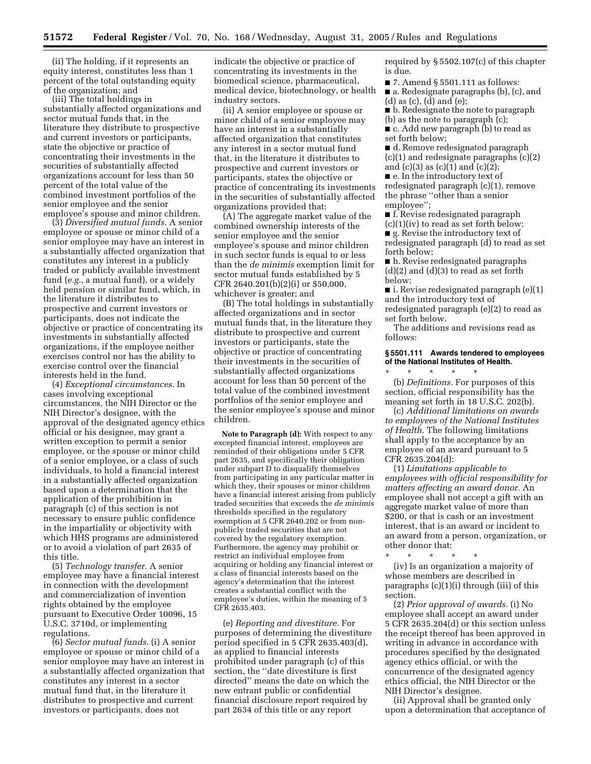(ii) The holding, if it represents an equity interest, constitutes less than 1 percent of the total outstanding equity of the organization; and

(iii) The total holdings in substantially affected organizations and sector mutual funds that, in the literature they distribute to prospective and current investors or participants, state the objective or practice of concentrating their investments in the securities of substantially affected organizations account for less than 50 percent of the total value of the combined investment portfolios of the senior employee and the senior employee's spouse and minor children.

(3) *Diversified mutual funds.* A senior employee or spouse or minor child of a senior employee may have an interest in a substantially affected organization that constitutes any interest in a publicly traded or publicly available investment fund (*e.g.*, a mutual fund), or a widely held pension or similar fund, which, in the literature it distributes to prospective and current investors or participants, does not indicate the objective or practice of concentrating its investments in substantially affected organizations, if the employee neither exercises control nor has the ability to exercise control over the financial interests held in the fund.

(4) *Exceptional circumstances.* In cases involving exceptional circumstances, the NIH Director or the NIH Director's designee, with the approval of the designated agency ethics official or his designee, may grant a written exception to permit a senior employee, or the spouse or minor child of a senior employee, or a class of such individuals, to hold a financial interest in a substantially affected organization based upon a determination that the application of the prohibition in paragraph (c) of this section is not necessary to ensure public confidence in the impartiality or objectivity with which HHS programs are administered or to avoid a violation of part 2635 of this title.

(5) *Technology transfer.* A senior employee may have a financial interest in connection with the development and commercialization of invention rights obtained by the employee pursuant to Executive Order 10096, 15 U.S.C. 3710d, or implementing regulations.

(6) *Sector mutual funds.* (i) A senior employee or spouse or minor child of a senior employee may have an interest in a substantially affected organization that constitutes any interest in a sector mutual fund that, in the literature it distributes to prospective and current investors or participants, does not

indicate the objective or practice of concentrating its investments in the biomedical science, pharmaceutical, medical device, biotechnology, or health industry sectors.

(ii) A senior employee or spouse or minor child of a senior employee may have an interest in a substantially affected organization that constitutes any interest in a sector mutual fund that, in the literature it distributes to prospective and current investors or participants, states the objective or practice of concentrating its investments in the securities of substantially affected organizations provided that:

(A) The aggregate market value of the combined ownership interests of the senior employee and the senior employee's spouse and minor children in such sector funds is equal to or less than the *de minimis* exemption limit for sector mutual funds established by 5 CFR 2640.201(b)(2)(i) or \$50,000, whichever is greater; and

(B) The total holdings in substantially affected organizations and in sector mutual funds that, in the literature they distribute to prospective and current investors or participants, state the objective or practice of concentrating their investments in the securities of substantially affected organizations account for less than 50 percent of the total value of the combined investment portfolios of the senior employee and the senior employee's spouse and minor children.

**Note to Paragraph (d):** With respect to any excepted financial interest, employees are reminded of their obligations under 5 CFR part 2635, and specifically their obligation under subpart D to disqualify themselves from participating in any particular matter in which they, their spouses or minor children have a financial interest arising from publicly traded securities that exceeds the *de minimis*  thresholds specified in the regulatory exemption at 5 CFR 2640.202 or from nonpublicly traded securities that are not covered by the regulatory exemption. Furthermore, the agency may prohibit or restrict an individual employee from acquiring or holding any financial interest or a class of financial interests based on the agency's determination that the interest creates a substantial conflict with the employee's duties, within the meaning of 5 CFR 2635.403.

(e) *Reporting and divestiture.* For purposes of determining the divestiture period specified in 5 CFR 2635.403(d), as applied to financial interests prohibited under paragraph (c) of this section, the ''date divestiture is first directed'' means the date on which the new entrant public or confidential financial disclosure report required by part 2634 of this title or any report

required by § 5502.107(c) of this chapter is due.

■ 7. Amend § 5501.111 as follows:

- a. Redesignate paragraphs (b), (c), and (d) as (c), (d) and (e);
- b. Redesignate the note to paragraph (b) as the note to paragraph (c);

■ c. Add new paragraph (b) to read as set forth below;

■ d. Remove redesignated paragraph (c)(1) and redesignate paragraphs (c)(2) and  $(c)(3)$  as  $(c)(1)$  and  $(c)(2)$ ; ■ e. In the introductory text of

redesignated paragraph (c)(1), remove the phrase ''other than a senior employee'';

■ f. Revise redesignated paragraph  $(c)(1)(iv)$  to read as set forth below; ■ g. Revise the introductory text of redesignated paragraph (d) to read as set

forth below; ■ h. Revise redesignated paragraphs

 $(d)(2)$  and  $(d)(3)$  to read as set forth below;

■ i. Revise redesignated paragraph (e)(1) and the introductory text of redesignated paragraph (e)(2) to read as set forth below.

The additions and revisions read as follows:

#### **§ 5501.111 Awards tendered to employees of the National Institutes of Health.**  \* \* \* \* \*

(b) *Definitions.* For purposes of this section, official responsibility has the meaning set forth in 18 U.S.C. 202(b).

(c) *Additional limitations on awards to employees of the National Institutes of Health.* The following limitations shall apply to the acceptance by an employee of an award pursuant to 5 CFR 2635.204(d):

(1) *Limitations applicable to employees with official responsibility for matters affecting an award donor.* An employee shall not accept a gift with an aggregate market value of more than \$200, or that is cash or an investment interest, that is an award or incident to an award from a person, organization, or other donor that:<br> $*$   $*$   $*$   $*$   $*$ 

\* \* \* \* \* (iv) Is an organization a majority of whose members are described in paragraphs (c)(1)(i) through (iii) of this section.

(2) *Prior approval of awards.* (i) No employee shall accept an award under 5 CFR 2635.204(d) or this section unless the receipt thereof has been approved in writing in advance in accordance with procedures specified by the designated agency ethics official, or with the concurrence of the designated agency ethics official, the NIH Director or the NIH Director's designee.

(ii) Approval shall be granted only upon a determination that acceptance of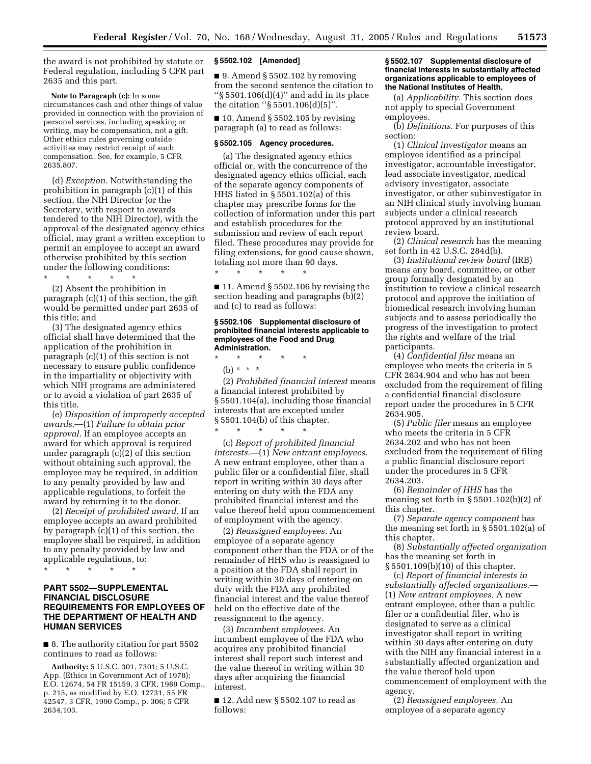the award is not prohibited by statute or Federal regulation, including 5 CFR part 2635 and this part.

**Note to Paragraph (c):** In some circumstances cash and other things of value provided in connection with the provision of personal services, including speaking or writing, may be compensation, not a gift. Other ethics rules governing outside activities may restrict receipt of such compensation. See, for example, 5 CFR 2635.807.

(d) *Exception.* Notwithstanding the prohibition in paragraph (c)(1) of this section, the NIH Director (or the Secretary, with respect to awards tendered to the NIH Director), with the approval of the designated agency ethics official, may grant a written exception to permit an employee to accept an award otherwise prohibited by this section under the following conditions:

\* \* \* \* \* (2) Absent the prohibition in paragraph (c)(1) of this section, the gift would be permitted under part 2635 of this title; and

(3) The designated agency ethics official shall have determined that the application of the prohibition in paragraph (c)(1) of this section is not necessary to ensure public confidence in the impartiality or objectivity with which NIH programs are administered or to avoid a violation of part 2635 of this title.

(e) *Disposition of improperly accepted awards.*—(1) *Failure to obtain prior approval.* If an employee accepts an award for which approval is required under paragraph (c)(2) of this section without obtaining such approval, the employee may be required, in addition to any penalty provided by law and applicable regulations, to forfeit the award by returning it to the donor.

(2) *Receipt of prohibited award.* If an employee accepts an award prohibited by paragraph (c)(1) of this section, the employee shall be required, in addition to any penalty provided by law and applicable regulations, to:

\* \* \* \* \*

## **PART 5502—SUPPLEMENTAL FINANCIAL DISCLOSURE REQUIREMENTS FOR EMPLOYEES OF THE DEPARTMENT OF HEALTH AND HUMAN SERVICES**

■ 8. The authority citation for part 5502 continues to read as follows:

**Authority:** 5 U.S.C. 301, 7301; 5 U.S.C. App. (Ethics in Government Act of 1978); E.O. 12674, 54 FR 15159, 3 CFR, 1989 Comp., p. 215, as modified by E.O. 12731, 55 FR 42547, 3 CFR, 1990 Comp., p. 306; 5 CFR 2634.103.

#### **§ 5502.102 [Amended]**

 $\blacksquare$  9. Amend § 5502.102 by removing from the second sentence the citation to ''§ 5501.106(d)(4)'' and add in its place the citation ''§ 5501.106(d)(5)''.

 $\blacksquare$  10. Amend § 5502.105 by revising paragraph (a) to read as follows:

#### **§ 5502.105 Agency procedures.**

(a) The designated agency ethics official or, with the concurrence of the designated agency ethics official, each of the separate agency components of HHS listed in § 5501.102(a) of this chapter may prescribe forms for the collection of information under this part and establish procedures for the submission and review of each report filed. These procedures may provide for filing extensions, for good cause shown, totaling not more than 90 days.

■ 11. Amend § 5502.106 by revising the section heading and paragraphs (b)(2) and (c) to read as follows:

#### **§ 5502.106 Supplemental disclosure of prohibited financial interests applicable to employees of the Food and Drug Administration.**

\* \* \* \* \* (b) \* \* \*

\* \* \* \* \*

(2) *Prohibited financial interest* means a financial interest prohibited by § 5501.104(a), including those financial interests that are excepted under § 5501.104(b) of this chapter.  $\star$   $\qquad$   $\star$   $\qquad$   $\star$ 

(c) *Report of prohibited financial interests.*—(1) *New entrant employees.*  A new entrant employee, other than a public filer or a confidential filer, shall report in writing within 30 days after entering on duty with the FDA any prohibited financial interest and the value thereof held upon commencement of employment with the agency.

(2) *Reassigned employees.* An employee of a separate agency component other than the FDA or of the remainder of HHS who is reassigned to a position at the FDA shall report in writing within 30 days of entering on duty with the FDA any prohibited financial interest and the value thereof held on the effective date of the reassignment to the agency.

(3) *Incumbent employees.* An incumbent employee of the FDA who acquires any prohibited financial interest shall report such interest and the value thereof in writing within 30 days after acquiring the financial interest.

■ 12. Add new § 5502.107 to read as follows:

#### **§ 5502.107 Supplemental disclosure of financial interests in substantially affected organizations applicable to employees of the National Institutes of Health.**

(a) *Applicability.* This section does not apply to special Government employees.

(b) *Definitions.* For purposes of this section:

(1) *Clinical investigator* means an employee identified as a principal investigator, accountable investigator, lead associate investigator, medical advisory investigator, associate investigator, or other subinvestigator in an NIH clinical study involving human subjects under a clinical research protocol approved by an institutional review board.

(2) *Clinical research* has the meaning set forth in 42 U.S.C. 284d(b).

(3) *Institutional review board* (IRB) means any board, committee, or other group formally designated by an institution to review a clinical research protocol and approve the initiation of biomedical research involving human subjects and to assess periodically the progress of the investigation to protect the rights and welfare of the trial participants.

(4) *Confidential filer* means an employee who meets the criteria in 5 CFR 2634.904 and who has not been excluded from the requirement of filing a confidential financial disclosure report under the procedures in 5 CFR 2634.905.

(5) *Public filer* means an employee who meets the criteria in 5 CFR 2634.202 and who has not been excluded from the requirement of filing a public financial disclosure report under the procedures in 5 CFR 2634.203.

(6) *Remainder of HHS* has the meaning set forth in  $\S 5501.102(b)(2)$  of this chapter.

(7) *Separate agency component* has the meaning set forth in § 5501.102(a) of this chapter.

(8) *Substantially affected organization*  has the meaning set forth in § 5501.109(b)(10) of this chapter.

(c) *Report of financial interests in substantially affected organizations.*— (1) *New entrant employees.* A new entrant employee, other than a public filer or a confidential filer, who is designated to serve as a clinical investigator shall report in writing within 30 days after entering on duty with the NIH any financial interest in a substantially affected organization and the value thereof held upon commencement of employment with the agency.

(2) *Reassigned employees.* An employee of a separate agency